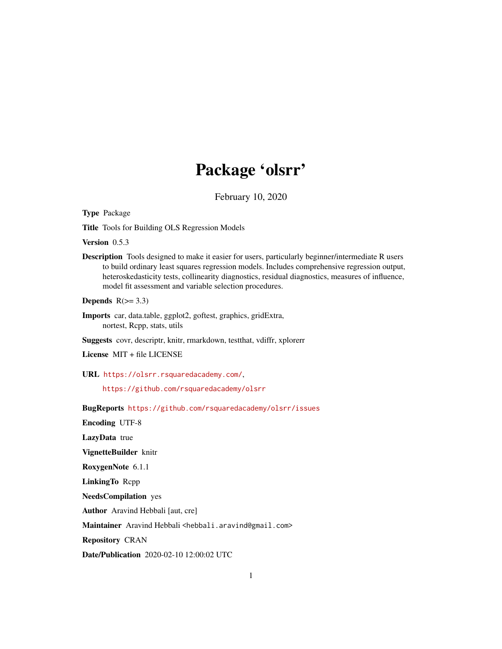# Package 'olsrr'

February 10, 2020

Type Package

Title Tools for Building OLS Regression Models

Version 0.5.3

Description Tools designed to make it easier for users, particularly beginner/intermediate R users to build ordinary least squares regression models. Includes comprehensive regression output, heteroskedasticity tests, collinearity diagnostics, residual diagnostics, measures of influence, model fit assessment and variable selection procedures.

Depends  $R(>= 3.3)$ 

Imports car, data.table, ggplot2, goftest, graphics, gridExtra, nortest, Rcpp, stats, utils

Suggests covr, descriptr, knitr, rmarkdown, testthat, vdiffr, xplorerr

License MIT + file LICENSE

URL <https://olsrr.rsquaredacademy.com/>,

<https://github.com/rsquaredacademy/olsrr>

BugReports <https://github.com/rsquaredacademy/olsrr/issues>

Encoding UTF-8

LazyData true

VignetteBuilder knitr

RoxygenNote 6.1.1

LinkingTo Rcpp

NeedsCompilation yes

Author Aravind Hebbali [aut, cre]

Maintainer Aravind Hebbali <hebbali.aravind@gmail.com>

Repository CRAN

Date/Publication 2020-02-10 12:00:02 UTC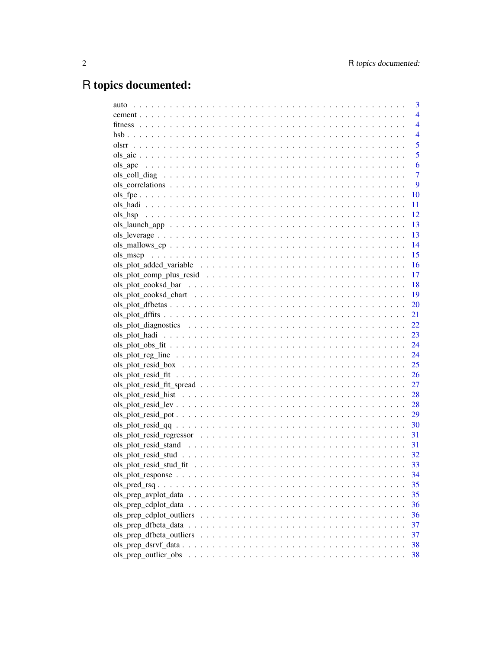# R topics documented:

|                                                          | 3              |
|----------------------------------------------------------|----------------|
|                                                          | $\overline{4}$ |
|                                                          | $\overline{4}$ |
|                                                          | $\overline{4}$ |
|                                                          | 5              |
|                                                          | 5              |
|                                                          | 6              |
|                                                          | 7              |
|                                                          | 9              |
|                                                          | 10             |
|                                                          | 11             |
|                                                          | 12             |
|                                                          | 13             |
|                                                          | 13             |
|                                                          | 14             |
|                                                          | 15             |
|                                                          | 16             |
|                                                          | -17            |
|                                                          | - 18           |
|                                                          | - 19           |
|                                                          | 20             |
|                                                          | 21             |
|                                                          |                |
|                                                          |                |
|                                                          | 24             |
|                                                          | 24             |
|                                                          | 25             |
|                                                          | 26             |
|                                                          | 27             |
|                                                          | 28             |
|                                                          |                |
|                                                          | 29             |
|                                                          | 30             |
|                                                          | 31             |
|                                                          | 31             |
|                                                          | - 32           |
| $ols_ plot_ resid_ statd_ fit_  \n \n \n \n \n \n \n \n$ | 33             |
|                                                          | 34             |
|                                                          | 35             |
|                                                          | 35             |
|                                                          | 36             |
|                                                          | 36             |
|                                                          | 37             |
|                                                          | 37             |
|                                                          | 38             |
|                                                          | 38             |
|                                                          |                |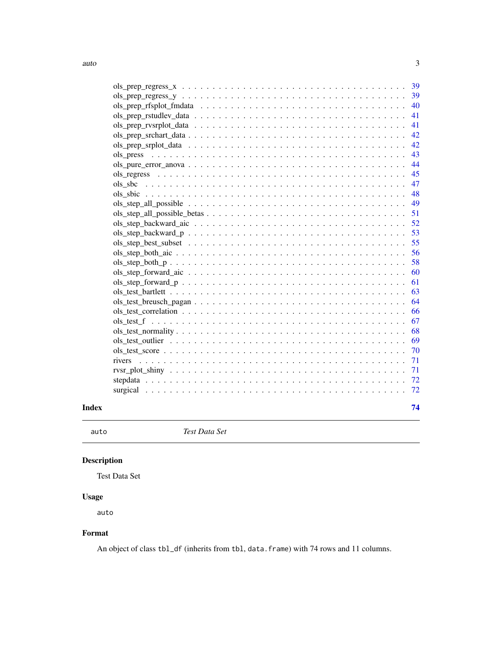<span id="page-2-0"></span>

|       |                                                                                                              | 48   |
|-------|--------------------------------------------------------------------------------------------------------------|------|
|       |                                                                                                              |      |
|       |                                                                                                              |      |
|       |                                                                                                              |      |
|       |                                                                                                              |      |
|       |                                                                                                              |      |
|       |                                                                                                              |      |
|       |                                                                                                              |      |
|       |                                                                                                              | -60  |
|       |                                                                                                              | -61  |
|       |                                                                                                              |      |
|       |                                                                                                              |      |
|       |                                                                                                              |      |
|       |                                                                                                              |      |
|       |                                                                                                              |      |
|       |                                                                                                              |      |
|       | $ols\_test\_score \dots \dots \dots \dots \dots \dots \dots \dots \dots \dots \dots \dots \dots \dots \dots$ | - 70 |
|       | rivers                                                                                                       |      |
|       |                                                                                                              |      |
|       |                                                                                                              |      |
|       |                                                                                                              |      |
| Index |                                                                                                              | 74   |

auto *Test Data Set*

## Description

Test Data Set

## Usage

auto

### Format

An object of class tbl\_df (inherits from tbl, data.frame) with 74 rows and 11 columns.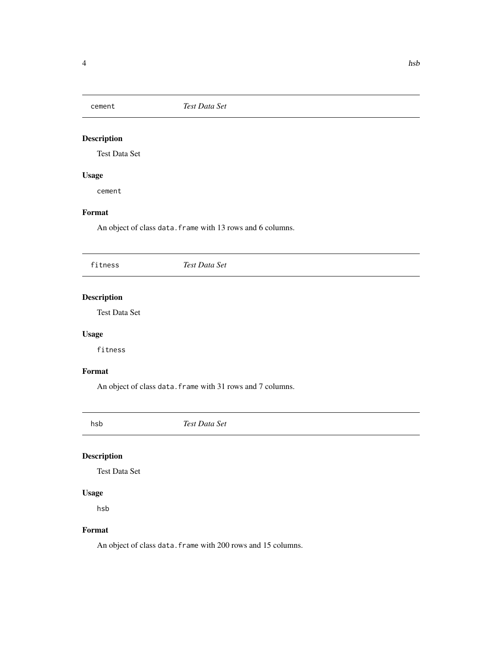<span id="page-3-0"></span>

### Description

Test Data Set

### Usage

cement

### Format

An object of class data. frame with 13 rows and 6 columns.

| fitness | Test Data Set |
|---------|---------------|
|         |               |

### Description

Test Data Set

### Usage

fitness

### Format

An object of class data. frame with 31 rows and 7 columns.

hsb *Test Data Set*

### Description

Test Data Set

### Usage

hsb

### Format

An object of class data.frame with 200 rows and 15 columns.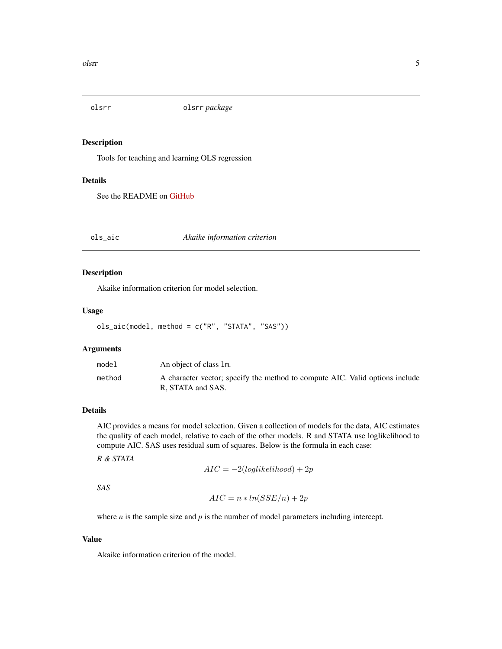<span id="page-4-0"></span>

### Description

Tools for teaching and learning OLS regression

### Details

See the README on [GitHub](https://github.com/rsquaredacademy/olsrr)

<span id="page-4-1"></span>ols\_aic *Akaike information criterion*

#### Description

Akaike information criterion for model selection.

### Usage

```
ols_aic(model, method = c("R", "STATA", "SAS"))
```
### Arguments

| model  | An object of class 1m.                                                                            |
|--------|---------------------------------------------------------------------------------------------------|
| method | A character vector; specify the method to compute AIC. Valid options include<br>R. STATA and SAS. |

### Details

AIC provides a means for model selection. Given a collection of models for the data, AIC estimates the quality of each model, relative to each of the other models. R and STATA use loglikelihood to compute AIC. SAS uses residual sum of squares. Below is the formula in each case:

*R & STATA*

 $AIC = -2(loglikelihood) + 2p$ 

*SAS*

$$
AIC = n * ln(SSE/n) + 2p
$$

where  $n$  is the sample size and  $p$  is the number of model parameters including intercept.

### Value

Akaike information criterion of the model.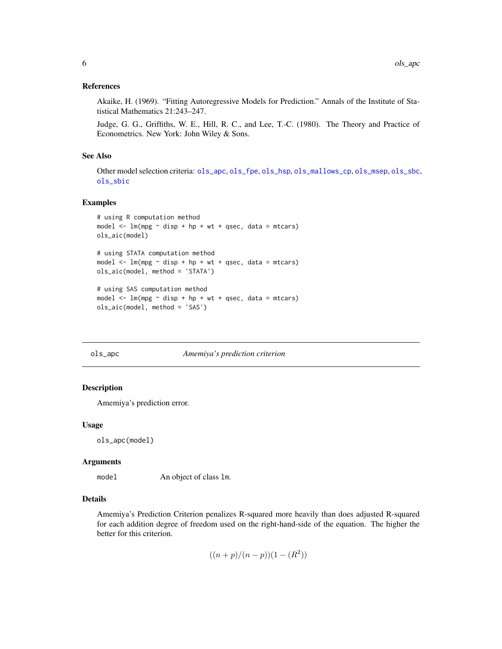#### <span id="page-5-0"></span>References

Akaike, H. (1969). "Fitting Autoregressive Models for Prediction." Annals of the Institute of Statistical Mathematics 21:243–247.

Judge, G. G., Griffiths, W. E., Hill, R. C., and Lee, T.-C. (1980). The Theory and Practice of Econometrics. New York: John Wiley & Sons.

#### See Also

Other model selection criteria: [ols\\_apc](#page-5-1), [ols\\_fpe](#page-9-1), [ols\\_hsp](#page-11-1), [ols\\_mallows\\_cp](#page-13-1), [ols\\_msep](#page-14-1), [ols\\_sbc](#page-46-1), [ols\\_sbic](#page-47-1)

#### Examples

```
# using R computation method
model \leq \ln(mpg \sim disp + hp + wt + qsec, data = mtcars)
ols_aic(model)
# using STATA computation method
model \leq lm(mpg \sim disp + hp + wt + qsec, data = mtcars)
ols_aic(model, method = 'STATA')
# using SAS computation method
model \leq \ln(mpg \sim disp + hp + wt + qsec, data = mtcars)
ols_aic(model, method = 'SAS')
```
#### <span id="page-5-1"></span>ols\_apc *Amemiya's prediction criterion*

### Description

Amemiya's prediction error.

#### Usage

ols\_apc(model)

#### Arguments

model An object of class 1m.

#### Details

Amemiya's Prediction Criterion penalizes R-squared more heavily than does adjusted R-squared for each addition degree of freedom used on the right-hand-side of the equation. The higher the better for this criterion.

$$
((n+p)/(n-p))(1-(R^2))
$$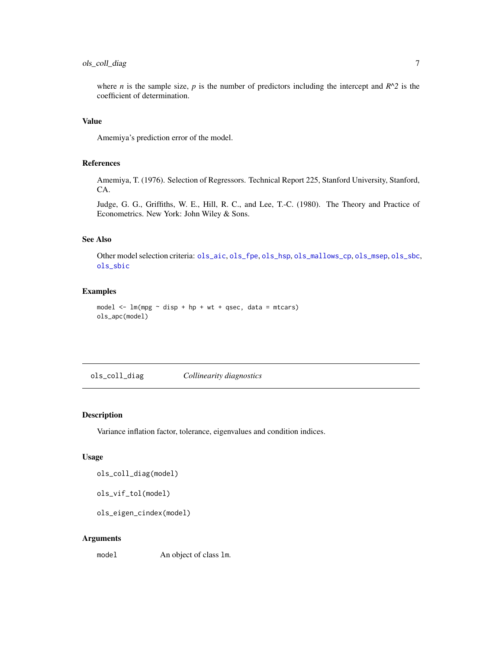### <span id="page-6-0"></span>ols\_coll\_diag 7

where *n* is the sample size, *p* is the number of predictors including the intercept and  $R^2$  is the coefficient of determination.

### Value

Amemiya's prediction error of the model.

### References

Amemiya, T. (1976). Selection of Regressors. Technical Report 225, Stanford University, Stanford, CA.

Judge, G. G., Griffiths, W. E., Hill, R. C., and Lee, T.-C. (1980). The Theory and Practice of Econometrics. New York: John Wiley & Sons.

### See Also

Other model selection criteria: [ols\\_aic](#page-4-1), [ols\\_fpe](#page-9-1), [ols\\_hsp](#page-11-1), [ols\\_mallows\\_cp](#page-13-1), [ols\\_msep](#page-14-1), [ols\\_sbc](#page-46-1), [ols\\_sbic](#page-47-1)

### Examples

```
model \leq - \ln(mpg \sim disp + hp + wt + qsec, data = mtcars)
ols_apc(model)
```
ols\_coll\_diag *Collinearity diagnostics*

### Description

Variance inflation factor, tolerance, eigenvalues and condition indices.

### Usage

ols\_coll\_diag(model)

ols\_vif\_tol(model)

ols\_eigen\_cindex(model)

#### Arguments

model An object of class lm.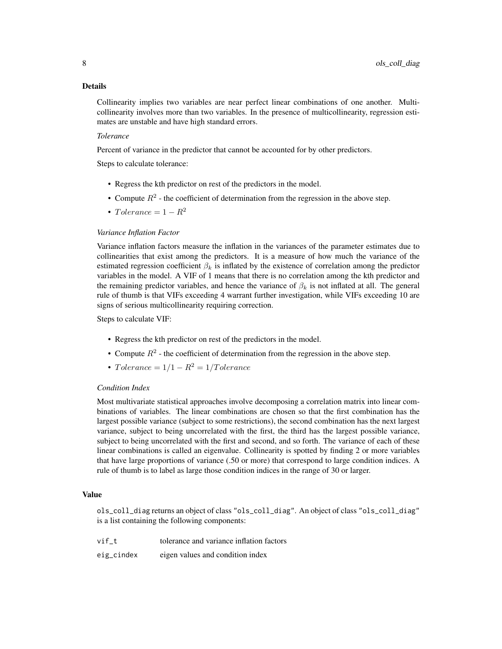#### Details

Collinearity implies two variables are near perfect linear combinations of one another. Multicollinearity involves more than two variables. In the presence of multicollinearity, regression estimates are unstable and have high standard errors.

### *Tolerance*

Percent of variance in the predictor that cannot be accounted for by other predictors.

Steps to calculate tolerance:

- Regress the kth predictor on rest of the predictors in the model.
- Compute  $R^2$  the coefficient of determination from the regression in the above step.
- Tolerance =  $1 R^2$

#### *Variance Inflation Factor*

Variance inflation factors measure the inflation in the variances of the parameter estimates due to collinearities that exist among the predictors. It is a measure of how much the variance of the estimated regression coefficient  $\beta_k$  is inflated by the existence of correlation among the predictor variables in the model. A VIF of 1 means that there is no correlation among the kth predictor and the remaining predictor variables, and hence the variance of  $\beta_k$  is not inflated at all. The general rule of thumb is that VIFs exceeding 4 warrant further investigation, while VIFs exceeding 10 are signs of serious multicollinearity requiring correction.

Steps to calculate VIF:

- Regress the kth predictor on rest of the predictors in the model.
- Compute  $R^2$  the coefficient of determination from the regression in the above step.
- Tolerance =  $1/1 R^2 = 1/T$ olerance

### *Condition Index*

Most multivariate statistical approaches involve decomposing a correlation matrix into linear combinations of variables. The linear combinations are chosen so that the first combination has the largest possible variance (subject to some restrictions), the second combination has the next largest variance, subject to being uncorrelated with the first, the third has the largest possible variance, subject to being uncorrelated with the first and second, and so forth. The variance of each of these linear combinations is called an eigenvalue. Collinearity is spotted by finding 2 or more variables that have large proportions of variance (.50 or more) that correspond to large condition indices. A rule of thumb is to label as large those condition indices in the range of 30 or larger.

#### Value

ols\_coll\_diag returns an object of class "ols\_coll\_diag". An object of class "ols\_coll\_diag" is a list containing the following components:

| vif t      | tolerance and variance inflation factors |
|------------|------------------------------------------|
| eig_cindex | eigen values and condition index         |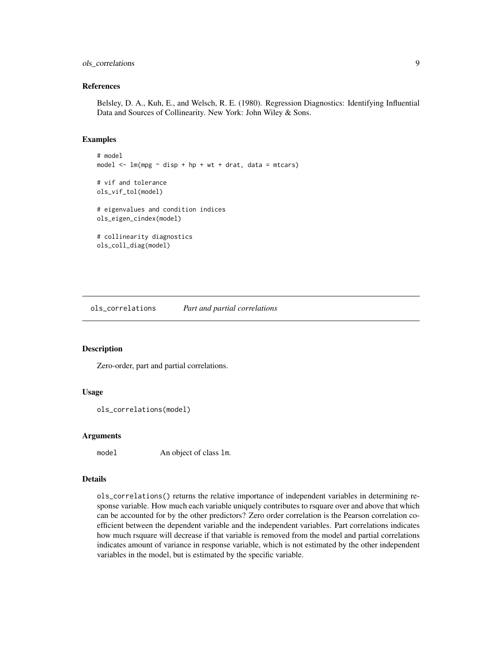### <span id="page-8-0"></span>ols\_correlations 9

#### References

Belsley, D. A., Kuh, E., and Welsch, R. E. (1980). Regression Diagnostics: Identifying Influential Data and Sources of Collinearity. New York: John Wiley & Sons.

### Examples

```
# model
model \leq - \ln(mpg \sim disp + hp + wt + drat, data = mtcars)
# vif and tolerance
ols_vif_tol(model)
# eigenvalues and condition indices
ols_eigen_cindex(model)
# collinearity diagnostics
ols_coll_diag(model)
```
ols\_correlations *Part and partial correlations*

#### Description

Zero-order, part and partial correlations.

#### Usage

```
ols_correlations(model)
```
#### Arguments

model An object of class 1m.

### Details

ols\_correlations() returns the relative importance of independent variables in determining response variable. How much each variable uniquely contributes to rsquare over and above that which can be accounted for by the other predictors? Zero order correlation is the Pearson correlation coefficient between the dependent variable and the independent variables. Part correlations indicates how much rsquare will decrease if that variable is removed from the model and partial correlations indicates amount of variance in response variable, which is not estimated by the other independent variables in the model, but is estimated by the specific variable.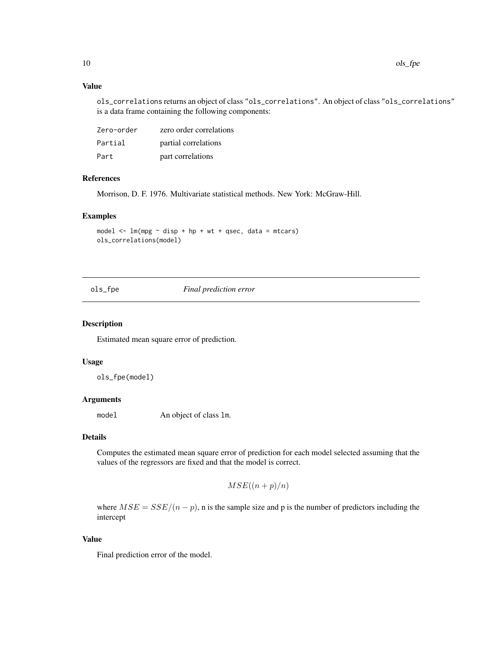### Value

ols\_correlations returns an object of class "ols\_correlations". An object of class "ols\_correlations" is a data frame containing the following components:

| Zero-order | zero order correlations |
|------------|-------------------------|
| Partial    | partial correlations    |
| Part       | part correlations       |

### References

Morrison, D. F. 1976. Multivariate statistical methods. New York: McGraw-Hill.

### Examples

model  $\leq$   $\ln(mpg \sim$  disp + hp + wt + qsec, data = mtcars) ols\_correlations(model)

<span id="page-9-1"></span>ols\_fpe *Final prediction error*

### Description

Estimated mean square error of prediction.

### Usage

ols\_fpe(model)

### Arguments

model An object of class lm.

### Details

Computes the estimated mean square error of prediction for each model selected assuming that the values of the regressors are fixed and that the model is correct.

```
MSE((n+p)/n)
```
where  $MSE = SSE/(n - p)$ , n is the sample size and p is the number of predictors including the intercept

### Value

Final prediction error of the model.

<span id="page-9-0"></span>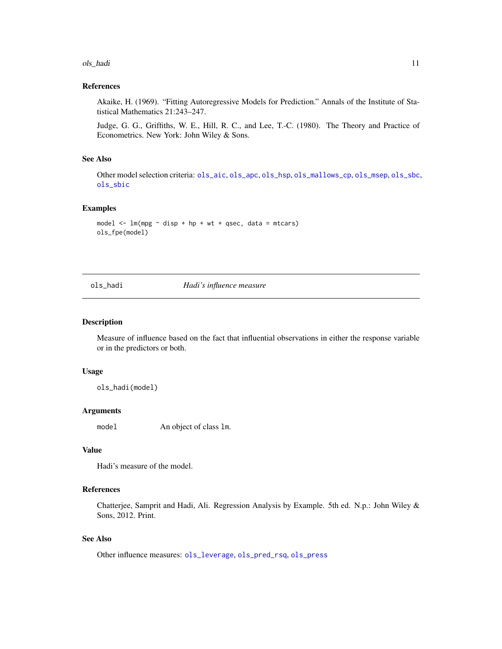#### <span id="page-10-0"></span>ols\_hadi 11

#### References

Akaike, H. (1969). "Fitting Autoregressive Models for Prediction." Annals of the Institute of Statistical Mathematics 21:243–247.

Judge, G. G., Griffiths, W. E., Hill, R. C., and Lee, T.-C. (1980). The Theory and Practice of Econometrics. New York: John Wiley & Sons.

### See Also

Other model selection criteria: [ols\\_aic](#page-4-1), [ols\\_apc](#page-5-1), [ols\\_hsp](#page-11-1), [ols\\_mallows\\_cp](#page-13-1), [ols\\_msep](#page-14-1), [ols\\_sbc](#page-46-1), [ols\\_sbic](#page-47-1)

### Examples

```
model \leq - \ln(mpg \sim disp + hp + wt + qsec, data = mtcars)
ols_fpe(model)
```
<span id="page-10-1"></span>ols\_hadi *Hadi's influence measure*

#### Description

Measure of influence based on the fact that influential observations in either the response variable or in the predictors or both.

#### Usage

ols\_hadi(model)

#### Arguments

model An object of class lm.

### Value

Hadi's measure of the model.

### References

Chatterjee, Samprit and Hadi, Ali. Regression Analysis by Example. 5th ed. N.p.: John Wiley & Sons, 2012. Print.

### See Also

Other influence measures: [ols\\_leverage](#page-12-1), [ols\\_pred\\_rsq](#page-34-1), [ols\\_press](#page-42-1)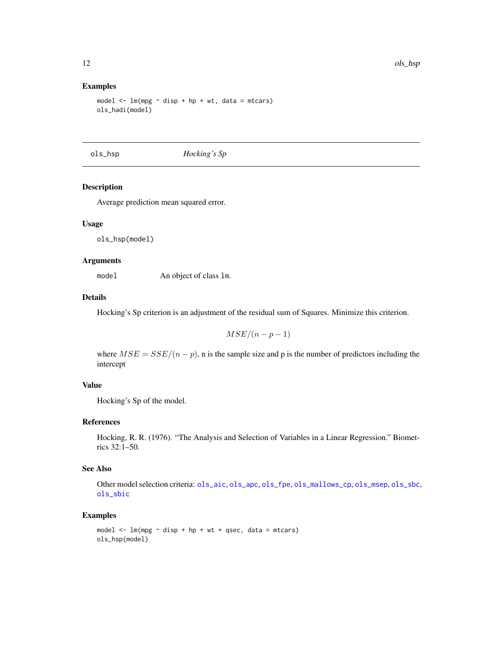#### Examples

```
model \leq lm(mpg \sim disp + hp + wt, data = mtcars)
ols_hadi(model)
```
<span id="page-11-1"></span>ols\_hsp *Hocking's Sp*

### Description

Average prediction mean squared error.

#### Usage

ols\_hsp(model)

#### Arguments

model An object of class lm.

### Details

Hocking's Sp criterion is an adjustment of the residual sum of Squares. Minimize this criterion.

$$
MSE/(n-p-1)
$$

where  $MSE = SSE/(n - p)$ , n is the sample size and p is the number of predictors including the intercept

#### Value

Hocking's Sp of the model.

### References

Hocking, R. R. (1976). "The Analysis and Selection of Variables in a Linear Regression." Biometrics 32:1–50.

### See Also

Other model selection criteria: [ols\\_aic](#page-4-1), [ols\\_apc](#page-5-1), [ols\\_fpe](#page-9-1), [ols\\_mallows\\_cp](#page-13-1), [ols\\_msep](#page-14-1), [ols\\_sbc](#page-46-1), [ols\\_sbic](#page-47-1)

```
model \leq lm(mpg \sim disp + hp + wt + qsec, data = mtcars)
ols_hsp(model)
```
<span id="page-11-0"></span>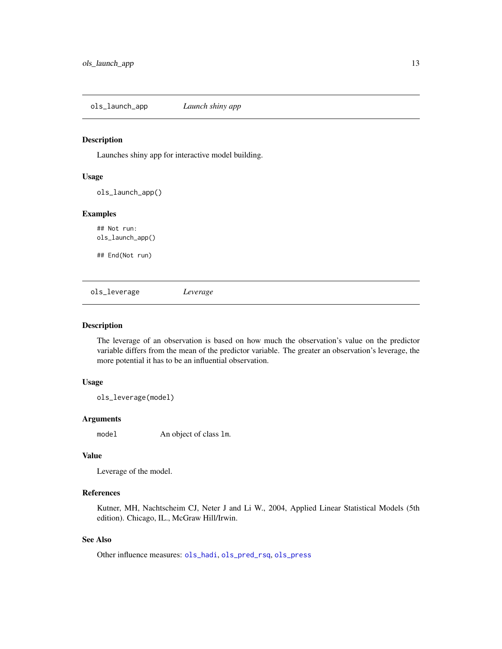<span id="page-12-0"></span>ols\_launch\_app *Launch shiny app*

### Description

Launches shiny app for interactive model building.

#### Usage

ols\_launch\_app()

### Examples

## Not run: ols\_launch\_app()

## End(Not run)

<span id="page-12-1"></span>ols\_leverage *Leverage*

### Description

The leverage of an observation is based on how much the observation's value on the predictor variable differs from the mean of the predictor variable. The greater an observation's leverage, the more potential it has to be an influential observation.

### Usage

ols\_leverage(model)

### Arguments

model An object of class lm.

### Value

Leverage of the model.

### References

Kutner, MH, Nachtscheim CJ, Neter J and Li W., 2004, Applied Linear Statistical Models (5th edition). Chicago, IL., McGraw Hill/Irwin.

### See Also

Other influence measures: [ols\\_hadi](#page-10-1), [ols\\_pred\\_rsq](#page-34-1), [ols\\_press](#page-42-1)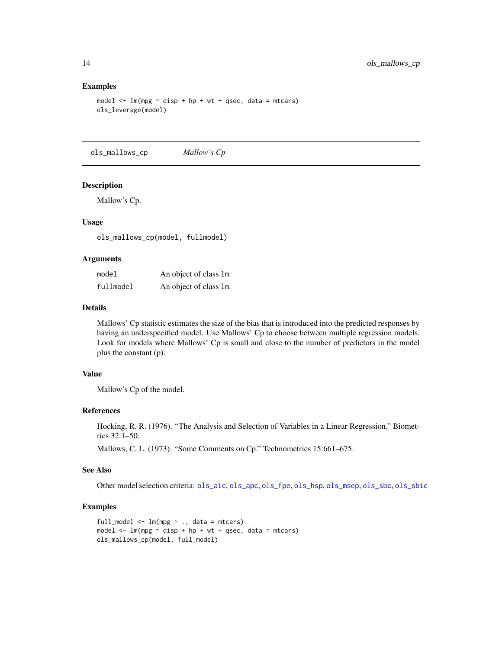#### Examples

```
model \leq - \ln(mpg \sim disp + hp + wt + qsec, data = mtcars)
ols_leverage(model)
```
<span id="page-13-1"></span>ols\_mallows\_cp *Mallow's Cp*

#### Description

Mallow's Cp.

### Usage

ols\_mallows\_cp(model, fullmodel)

#### **Arguments**

| model     | An object of class 1m. |  |
|-----------|------------------------|--|
| fullmodel | An object of class 1m. |  |

### Details

Mallows' Cp statistic estimates the size of the bias that is introduced into the predicted responses by having an underspecified model. Use Mallows' Cp to choose between multiple regression models. Look for models where Mallows' Cp is small and close to the number of predictors in the model plus the constant (p).

#### Value

Mallow's Cp of the model.

### References

Hocking, R. R. (1976). "The Analysis and Selection of Variables in a Linear Regression." Biometrics 32:1–50.

Mallows, C. L. (1973). "Some Comments on Cp." Technometrics 15:661–675.

### See Also

Other model selection criteria: [ols\\_aic](#page-4-1), [ols\\_apc](#page-5-1), [ols\\_fpe](#page-9-1), [ols\\_hsp](#page-11-1), [ols\\_msep](#page-14-1), [ols\\_sbc](#page-46-1), [ols\\_sbic](#page-47-1)

```
full_model <- lm(mpg ~ ., data = mtcars)
model \leq lm(mpg \sim disp + hp + wt + qsec, data = mtcars)
ols_mallows_cp(model, full_model)
```
<span id="page-13-0"></span>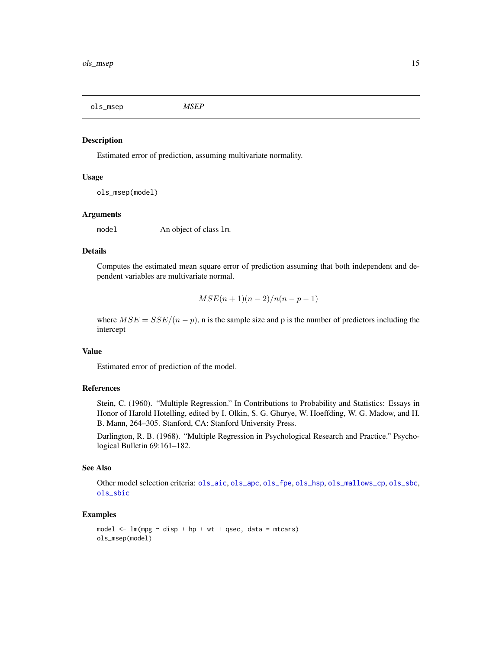<span id="page-14-1"></span><span id="page-14-0"></span>ols\_msep *MSEP*

#### Description

Estimated error of prediction, assuming multivariate normality.

#### Usage

```
ols_msep(model)
```
#### Arguments

model An object of class lm.

#### Details

Computes the estimated mean square error of prediction assuming that both independent and dependent variables are multivariate normal.

$$
MSE(n+1)(n-2)/n(n-p-1)
$$

where  $MSE = SSE/(n - p)$ , n is the sample size and p is the number of predictors including the intercept

### Value

Estimated error of prediction of the model.

### References

Stein, C. (1960). "Multiple Regression." In Contributions to Probability and Statistics: Essays in Honor of Harold Hotelling, edited by I. Olkin, S. G. Ghurye, W. Hoeffding, W. G. Madow, and H. B. Mann, 264–305. Stanford, CA: Stanford University Press.

Darlington, R. B. (1968). "Multiple Regression in Psychological Research and Practice." Psychological Bulletin 69:161–182.

#### See Also

Other model selection criteria: [ols\\_aic](#page-4-1), [ols\\_apc](#page-5-1), [ols\\_fpe](#page-9-1), [ols\\_hsp](#page-11-1), [ols\\_mallows\\_cp](#page-13-1), [ols\\_sbc](#page-46-1), [ols\\_sbic](#page-47-1)

```
model \leq - \text{lm}(mpg \sim \text{disp} + hp + wt + qsec, \text{ data} = mtcars)ols_msep(model)
```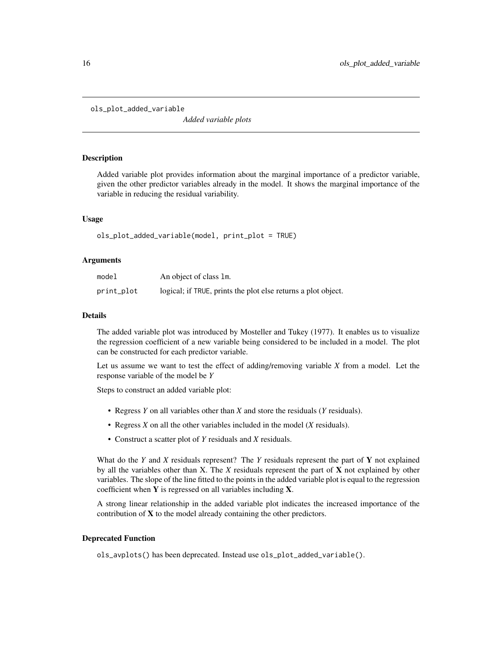```
ols_plot_added_variable
```
*Added variable plots*

### Description

Added variable plot provides information about the marginal importance of a predictor variable, given the other predictor variables already in the model. It shows the marginal importance of the variable in reducing the residual variability.

### Usage

```
ols_plot_added_variable(model, print_plot = TRUE)
```
### Arguments

| model      | An object of class 1m.                                        |
|------------|---------------------------------------------------------------|
| print_plot | logical; if TRUE, prints the plot else returns a plot object. |

#### Details

The added variable plot was introduced by Mosteller and Tukey (1977). It enables us to visualize the regression coefficient of a new variable being considered to be included in a model. The plot can be constructed for each predictor variable.

Let us assume we want to test the effect of adding/removing variable *X* from a model. Let the response variable of the model be *Y*

Steps to construct an added variable plot:

- Regress *Y* on all variables other than *X* and store the residuals (*Y* residuals).
- Regress *X* on all the other variables included in the model (*X* residuals).
- Construct a scatter plot of *Y* residuals and *X* residuals.

What do the *Y* and *X* residuals represent? The *Y* residuals represent the part of Y not explained by all the variables other than X. The *X* residuals represent the part of X not explained by other variables. The slope of the line fitted to the points in the added variable plot is equal to the regression coefficient when  $Y$  is regressed on all variables including  $X$ .

A strong linear relationship in the added variable plot indicates the increased importance of the contribution of  $X$  to the model already containing the other predictors.

#### Deprecated Function

ols\_avplots() has been deprecated. Instead use ols\_plot\_added\_variable().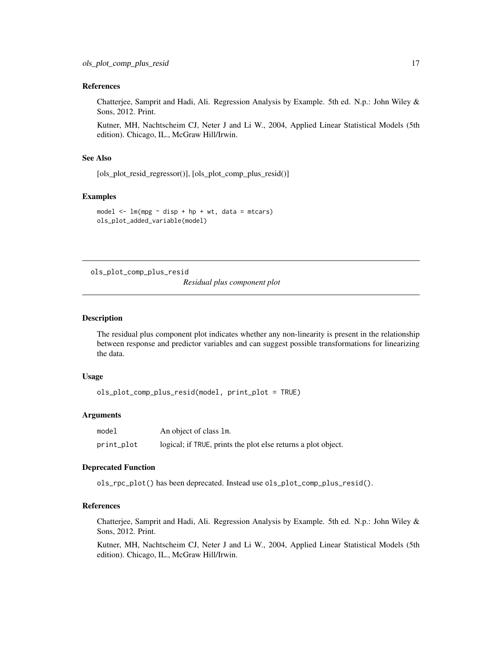#### <span id="page-16-0"></span>References

Chatterjee, Samprit and Hadi, Ali. Regression Analysis by Example. 5th ed. N.p.: John Wiley & Sons, 2012. Print.

Kutner, MH, Nachtscheim CJ, Neter J and Li W., 2004, Applied Linear Statistical Models (5th edition). Chicago, IL., McGraw Hill/Irwin.

### See Also

[ols\_plot\_resid\_regressor()], [ols\_plot\_comp\_plus\_resid()]

#### Examples

```
model \leq - \ln(mpg \sim \text{disp} + hp + wt, \text{ data} = mtcars)ols_plot_added_variable(model)
```
ols\_plot\_comp\_plus\_resid

*Residual plus component plot*

#### Description

The residual plus component plot indicates whether any non-linearity is present in the relationship between response and predictor variables and can suggest possible transformations for linearizing the data.

### Usage

ols\_plot\_comp\_plus\_resid(model, print\_plot = TRUE)

#### Arguments

| model      | An object of class 1m.                                        |
|------------|---------------------------------------------------------------|
| print_plot | logical; if TRUE, prints the plot else returns a plot object. |

#### Deprecated Function

ols\_rpc\_plot() has been deprecated. Instead use ols\_plot\_comp\_plus\_resid().

### References

Chatterjee, Samprit and Hadi, Ali. Regression Analysis by Example. 5th ed. N.p.: John Wiley & Sons, 2012. Print.

Kutner, MH, Nachtscheim CJ, Neter J and Li W., 2004, Applied Linear Statistical Models (5th edition). Chicago, IL., McGraw Hill/Irwin.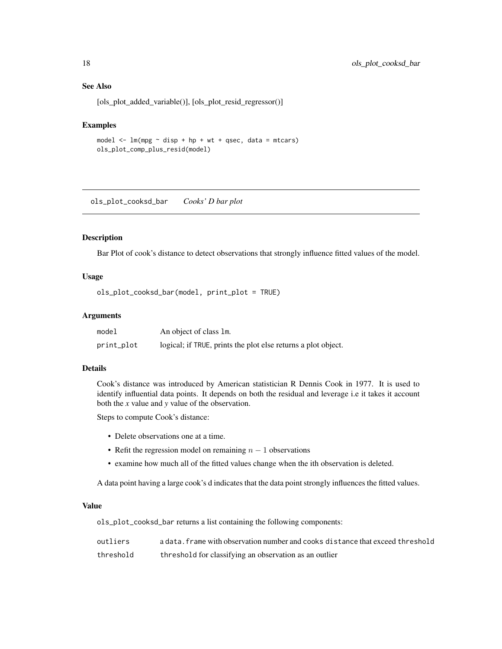### See Also

[ols\_plot\_added\_variable()], [ols\_plot\_resid\_regressor()]

#### Examples

model  $\leq$  -  $\ln(mpg \sim$  disp + hp + wt + qsec, data = mtcars) ols\_plot\_comp\_plus\_resid(model)

ols\_plot\_cooksd\_bar *Cooks' D bar plot*

#### Description

Bar Plot of cook's distance to detect observations that strongly influence fitted values of the model.

### Usage

```
ols_plot_cooksd_bar(model, print_plot = TRUE)
```
### Arguments

| model      | An object of class 1m.                                        |
|------------|---------------------------------------------------------------|
| print_plot | logical; if TRUE, prints the plot else returns a plot object. |

#### Details

Cook's distance was introduced by American statistician R Dennis Cook in 1977. It is used to identify influential data points. It depends on both the residual and leverage i.e it takes it account both the *x* value and *y* value of the observation.

Steps to compute Cook's distance:

- Delete observations one at a time.
- Refit the regression model on remaining  $n 1$  observations
- examine how much all of the fitted values change when the ith observation is deleted.

A data point having a large cook's d indicates that the data point strongly influences the fitted values.

#### Value

ols\_plot\_cooksd\_bar returns a list containing the following components:

| outliers  | a data, frame with observation number and cooks distance that exceed threshold |
|-----------|--------------------------------------------------------------------------------|
| threshold | threshold for classifying an observation as an outlier                         |

<span id="page-17-0"></span>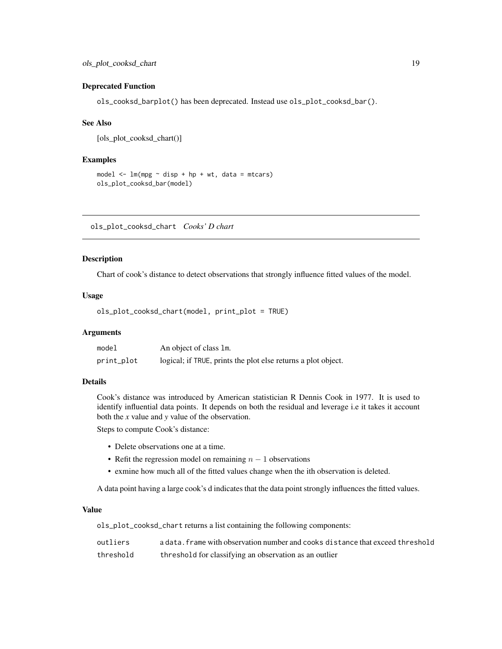#### <span id="page-18-0"></span>Deprecated Function

ols\_cooksd\_barplot() has been deprecated. Instead use ols\_plot\_cooksd\_bar().

#### See Also

[ols\_plot\_cooksd\_chart()]

#### Examples

```
model \leq lm(mpg \sim disp + hp + wt, data = mtcars)
ols_plot_cooksd_bar(model)
```
ols\_plot\_cooksd\_chart *Cooks' D chart*

#### Description

Chart of cook's distance to detect observations that strongly influence fitted values of the model.

### Usage

```
ols_plot_cooksd_chart(model, print_plot = TRUE)
```
### Arguments

| model      | An object of class 1m.                                        |
|------------|---------------------------------------------------------------|
| print_plot | logical; if TRUE, prints the plot else returns a plot object. |

### Details

Cook's distance was introduced by American statistician R Dennis Cook in 1977. It is used to identify influential data points. It depends on both the residual and leverage i.e it takes it account both the *x* value and *y* value of the observation.

Steps to compute Cook's distance:

- Delete observations one at a time.
- Refit the regression model on remaining  $n 1$  observations
- exmine how much all of the fitted values change when the ith observation is deleted.

A data point having a large cook's d indicates that the data point strongly influences the fitted values.

#### Value

ols\_plot\_cooksd\_chart returns a list containing the following components:

| outliers  | a data, frame with observation number and cooks distance that exceed threshold |
|-----------|--------------------------------------------------------------------------------|
| threshold | threshold for classifying an observation as an outlier                         |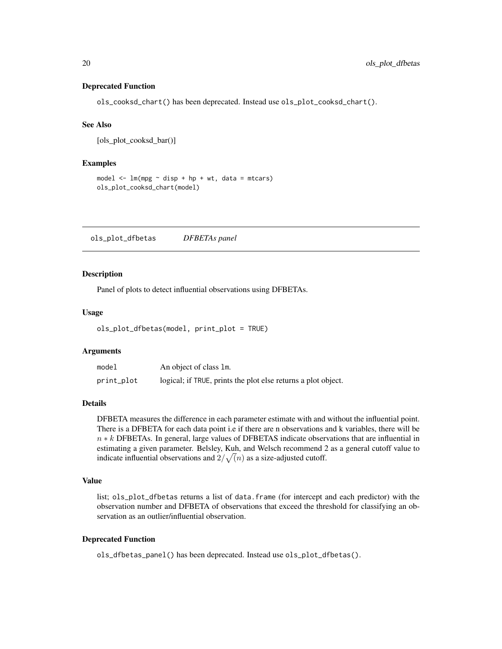#### <span id="page-19-0"></span>Deprecated Function

ols\_cooksd\_chart() has been deprecated. Instead use ols\_plot\_cooksd\_chart().

### See Also

[ols\_plot\_cooksd\_bar()]

#### Examples

```
model \leq lm(mpg \sim disp + hp + wt, data = mtcars)
ols_plot_cooksd_chart(model)
```
ols\_plot\_dfbetas *DFBETAs panel*

#### Description

Panel of plots to detect influential observations using DFBETAs.

#### Usage

```
ols_plot_dfbetas(model, print_plot = TRUE)
```
### Arguments

| model      | An object of class 1m.                                        |
|------------|---------------------------------------------------------------|
| print_plot | logical; if TRUE, prints the plot else returns a plot object. |

### **Details**

DFBETA measures the difference in each parameter estimate with and without the influential point. There is a DFBETA for each data point i.e if there are n observations and k variables, there will be  $n * k$  DFBETAs. In general, large values of DFBETAS indicate observations that are influential in estimating a given parameter. Belsley, Kuh, and Welsch recommend 2 as a general cutoff value to indicate influential observations and  $2/\sqrt(n)$  as a size-adjusted cutoff.

#### Value

list; ols\_plot\_dfbetas returns a list of data.frame (for intercept and each predictor) with the observation number and DFBETA of observations that exceed the threshold for classifying an observation as an outlier/influential observation.

#### Deprecated Function

ols\_dfbetas\_panel() has been deprecated. Instead use ols\_plot\_dfbetas().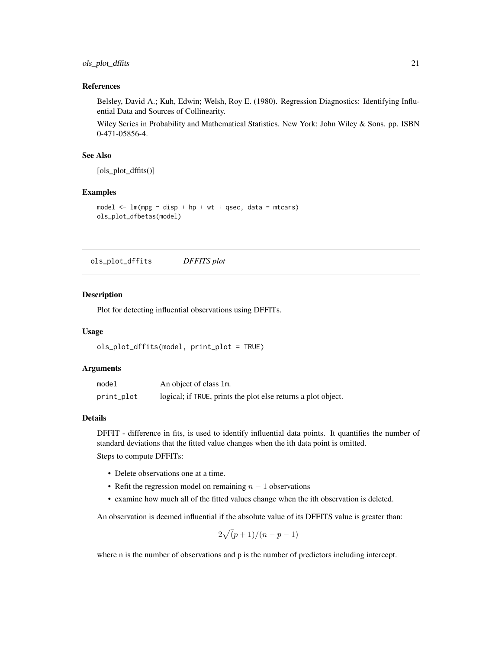#### <span id="page-20-0"></span>References

Belsley, David A.; Kuh, Edwin; Welsh, Roy E. (1980). Regression Diagnostics: Identifying Influential Data and Sources of Collinearity.

Wiley Series in Probability and Mathematical Statistics. New York: John Wiley & Sons. pp. ISBN 0-471-05856-4.

#### See Also

[ols\_plot\_dffits()]

#### Examples

```
model \leq - \text{lm}(mpg \sim \text{disp} + hp + wt + qsec, \text{ data} = mtcars)ols_plot_dfbetas(model)
```
ols\_plot\_dffits *DFFITS plot*

#### Description

Plot for detecting influential observations using DFFITs.

#### Usage

```
ols_plot_dffits(model, print_plot = TRUE)
```
### Arguments

| model      | An object of class 1m.                                        |
|------------|---------------------------------------------------------------|
| print_plot | logical; if TRUE, prints the plot else returns a plot object. |

### Details

DFFIT - difference in fits, is used to identify influential data points. It quantifies the number of standard deviations that the fitted value changes when the ith data point is omitted.

Steps to compute DFFITs:

- Delete observations one at a time.
- Refit the regression model on remaining  $n 1$  observations
- examine how much all of the fitted values change when the ith observation is deleted.

An observation is deemed influential if the absolute value of its DFFITS value is greater than:

$$
2\sqrt{(p+1)/(n-p-1)}
$$

where n is the number of observations and p is the number of predictors including intercept.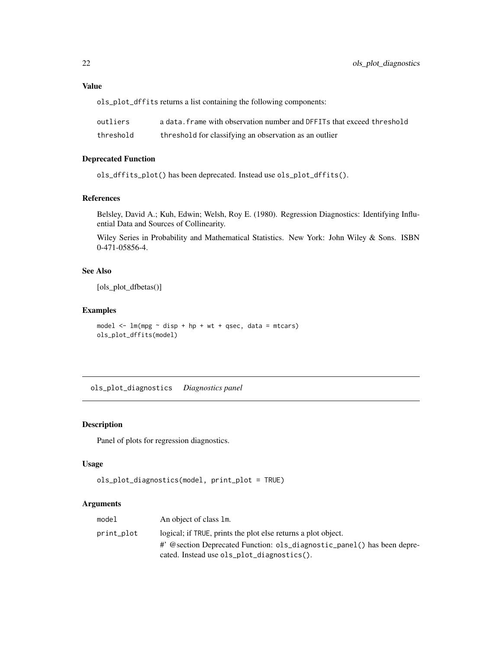### <span id="page-21-0"></span>Value

ols\_plot\_dffits returns a list containing the following components:

| outliers  | a data, frame with observation number and DFFITs that exceed threshold |
|-----------|------------------------------------------------------------------------|
| threshold | threshold for classifying an observation as an outlier                 |

### Deprecated Function

ols\_dffits\_plot() has been deprecated. Instead use ols\_plot\_dffits().

### References

Belsley, David A.; Kuh, Edwin; Welsh, Roy E. (1980). Regression Diagnostics: Identifying Influential Data and Sources of Collinearity.

Wiley Series in Probability and Mathematical Statistics. New York: John Wiley & Sons. ISBN 0-471-05856-4.

### See Also

[ols\_plot\_dfbetas()]

### Examples

```
model \leq - \ln(mpg \sim disp + hp + wt + qsec, data = mtcars)
ols_plot_dffits(model)
```
ols\_plot\_diagnostics *Diagnostics panel*

### Description

Panel of plots for regression diagnostics.

#### Usage

```
ols_plot_diagnostics(model, print_plot = TRUE)
```
### Arguments

| model      | An object of class 1m.                                                  |
|------------|-------------------------------------------------------------------------|
| print_plot | logical; if TRUE, prints the plot else returns a plot object.           |
|            | #' @section Deprecated Function: ols_diagnostic_panel() has been depre- |
|            | cated. Instead use ols_plot_diagnostics().                              |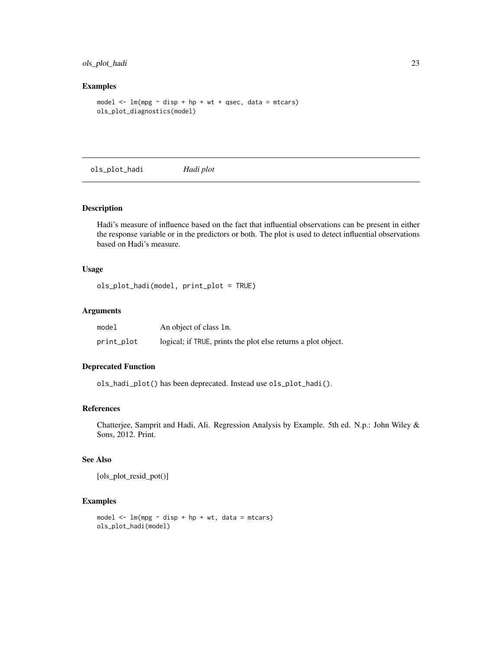### <span id="page-22-0"></span>ols\_plot\_hadi 23

#### Examples

```
model \leq lm(mpg \sim disp + hp + wt + qsec, data = mtcars)
ols_plot_diagnostics(model)
```
ols\_plot\_hadi *Hadi plot*

### Description

Hadi's measure of influence based on the fact that influential observations can be present in either the response variable or in the predictors or both. The plot is used to detect influential observations based on Hadi's measure.

### Usage

ols\_plot\_hadi(model, print\_plot = TRUE)

### Arguments

| model      | An object of class 1m.                                        |
|------------|---------------------------------------------------------------|
| print_plot | logical; if TRUE, prints the plot else returns a plot object. |

### Deprecated Function

ols\_hadi\_plot() has been deprecated. Instead use ols\_plot\_hadi().

#### References

Chatterjee, Samprit and Hadi, Ali. Regression Analysis by Example. 5th ed. N.p.: John Wiley & Sons, 2012. Print.

### See Also

[ols\_plot\_resid\_pot()]

```
model \leq lm(mpg \sim disp + hp + wt, data = mtcars)
ols_plot_hadi(model)
```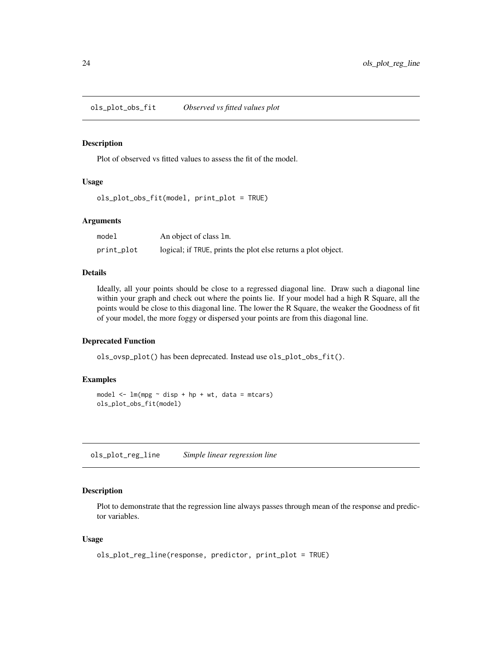<span id="page-23-0"></span>ols\_plot\_obs\_fit *Observed vs fitted values plot*

### Description

Plot of observed vs fitted values to assess the fit of the model.

#### Usage

```
ols_plot_obs_fit(model, print_plot = TRUE)
```
#### Arguments

| model      | An object of class 1m.                                        |
|------------|---------------------------------------------------------------|
| print_plot | logical; if TRUE, prints the plot else returns a plot object. |

#### Details

Ideally, all your points should be close to a regressed diagonal line. Draw such a diagonal line within your graph and check out where the points lie. If your model had a high R Square, all the points would be close to this diagonal line. The lower the R Square, the weaker the Goodness of fit of your model, the more foggy or dispersed your points are from this diagonal line.

#### Deprecated Function

ols\_ovsp\_plot() has been deprecated. Instead use ols\_plot\_obs\_fit().

#### Examples

```
model \leq lm(mpg \sim disp + hp + wt, data = mtcars)
ols_plot_obs_fit(model)
```
ols\_plot\_reg\_line *Simple linear regression line*

### Description

Plot to demonstrate that the regression line always passes through mean of the response and predictor variables.

#### Usage

```
ols_plot_reg_line(response, predictor, print_plot = TRUE)
```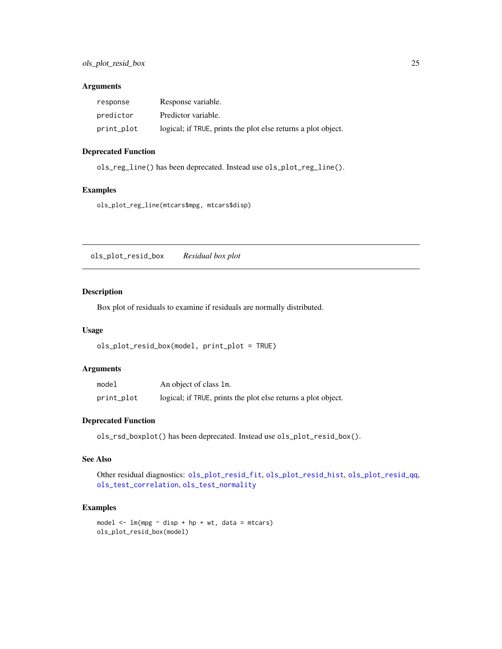### <span id="page-24-0"></span>Arguments

| response   | Response variable.                                            |
|------------|---------------------------------------------------------------|
| predictor  | Predictor variable.                                           |
| print_plot | logical; if TRUE, prints the plot else returns a plot object. |

### Deprecated Function

ols\_reg\_line() has been deprecated. Instead use ols\_plot\_reg\_line().

### Examples

ols\_plot\_reg\_line(mtcars\$mpg, mtcars\$disp)

<span id="page-24-1"></span>ols\_plot\_resid\_box *Residual box plot*

#### Description

Box plot of residuals to examine if residuals are normally distributed.

#### Usage

```
ols_plot_resid_box(model, print_plot = TRUE)
```
### Arguments

| model      | An object of class 1m.                                        |
|------------|---------------------------------------------------------------|
| print_plot | logical; if TRUE, prints the plot else returns a plot object. |

### Deprecated Function

ols\_rsd\_boxplot() has been deprecated. Instead use ols\_plot\_resid\_box().

### See Also

Other residual diagnostics: [ols\\_plot\\_resid\\_fit](#page-25-1), [ols\\_plot\\_resid\\_hist](#page-27-1), [ols\\_plot\\_resid\\_qq](#page-29-1), [ols\\_test\\_correlation](#page-65-1), [ols\\_test\\_normality](#page-67-1)

```
model \leq \ln(mpg \sim \text{disp} + hp + wt, \text{ data} = mtcars)ols_plot_resid_box(model)
```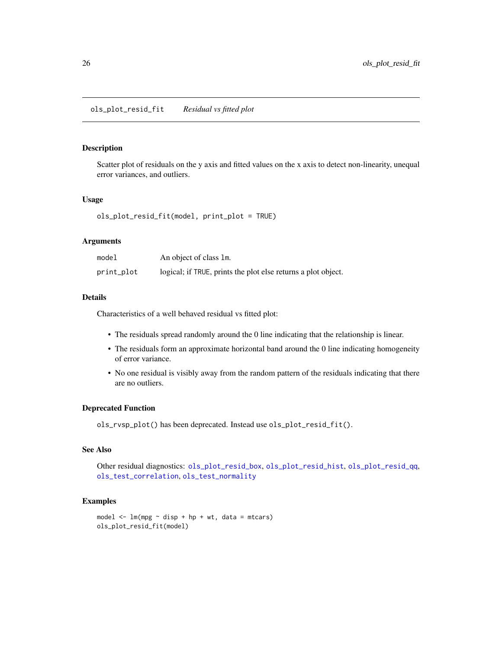### <span id="page-25-1"></span><span id="page-25-0"></span>Description

Scatter plot of residuals on the y axis and fitted values on the x axis to detect non-linearity, unequal error variances, and outliers.

### Usage

ols\_plot\_resid\_fit(model, print\_plot = TRUE)

#### Arguments

| model      | An object of class 1m.                                        |
|------------|---------------------------------------------------------------|
| print_plot | logical; if TRUE, prints the plot else returns a plot object. |

### Details

Characteristics of a well behaved residual vs fitted plot:

- The residuals spread randomly around the 0 line indicating that the relationship is linear.
- The residuals form an approximate horizontal band around the 0 line indicating homogeneity of error variance.
- No one residual is visibly away from the random pattern of the residuals indicating that there are no outliers.

#### Deprecated Function

ols\_rvsp\_plot() has been deprecated. Instead use ols\_plot\_resid\_fit().

#### See Also

Other residual diagnostics: [ols\\_plot\\_resid\\_box](#page-24-1), [ols\\_plot\\_resid\\_hist](#page-27-1), [ols\\_plot\\_resid\\_qq](#page-29-1), [ols\\_test\\_correlation](#page-65-1), [ols\\_test\\_normality](#page-67-1)

```
model \leq - \ln(mpg \sim disp + hp + wt, data = mtcars)
ols_plot_resid_fit(model)
```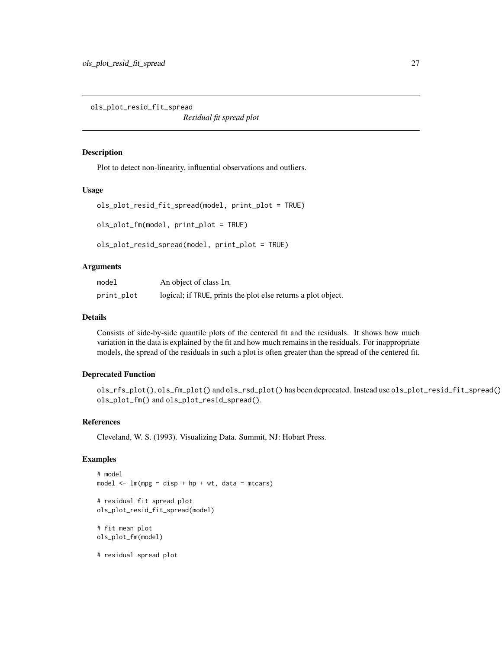<span id="page-26-0"></span>ols\_plot\_resid\_fit\_spread

*Residual fit spread plot*

#### Description

Plot to detect non-linearity, influential observations and outliers.

#### Usage

```
ols_plot_resid_fit_spread(model, print_plot = TRUE)
ols_plot_fm(model, print_plot = TRUE)
```
ols\_plot\_resid\_spread(model, print\_plot = TRUE)

### Arguments

| model      | An object of class 1m.                                        |
|------------|---------------------------------------------------------------|
| print_plot | logical; if TRUE, prints the plot else returns a plot object. |

### Details

Consists of side-by-side quantile plots of the centered fit and the residuals. It shows how much variation in the data is explained by the fit and how much remains in the residuals. For inappropriate models, the spread of the residuals in such a plot is often greater than the spread of the centered fit.

### Deprecated Function

ols\_rfs\_plot(), ols\_fm\_plot() and ols\_rsd\_plot() has been deprecated. Instead use ols\_plot\_resid\_fit\_spread(), ols\_plot\_fm() and ols\_plot\_resid\_spread().

### References

Cleveland, W. S. (1993). Visualizing Data. Summit, NJ: Hobart Press.

```
# model
model \leq lm(mpg \sim disp + hp + wt, data = mtcars)
# residual fit spread plot
ols_plot_resid_fit_spread(model)
# fit mean plot
ols_plot_fm(model)
```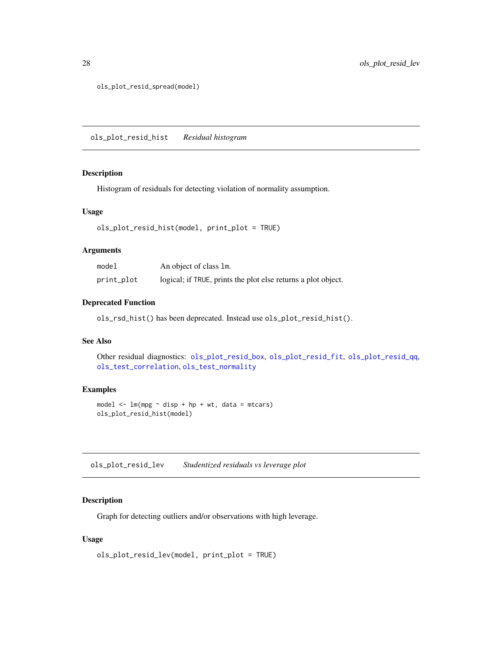<span id="page-27-0"></span>ols\_plot\_resid\_spread(model)

<span id="page-27-1"></span>ols\_plot\_resid\_hist *Residual histogram*

#### Description

Histogram of residuals for detecting violation of normality assumption.

### Usage

```
ols_plot_resid_hist(model, print_plot = TRUE)
```
### Arguments

| model      | An object of class 1m.                                        |
|------------|---------------------------------------------------------------|
| print_plot | logical; if TRUE, prints the plot else returns a plot object. |

### Deprecated Function

ols\_rsd\_hist() has been deprecated. Instead use ols\_plot\_resid\_hist().

### See Also

```
Other residual diagnostics: ols_plot_resid_box, ols_plot_resid_fit, ols_plot_resid_qq,
ols_test_correlation, ols_test_normality
```
### Examples

```
model \leq lm(mpg \sim disp + hp + wt, data = mtcars)
ols_plot_resid_hist(model)
```
ols\_plot\_resid\_lev *Studentized residuals vs leverage plot*

### Description

Graph for detecting outliers and/or observations with high leverage.

#### Usage

```
ols_plot_resid_lev(model, print_plot = TRUE)
```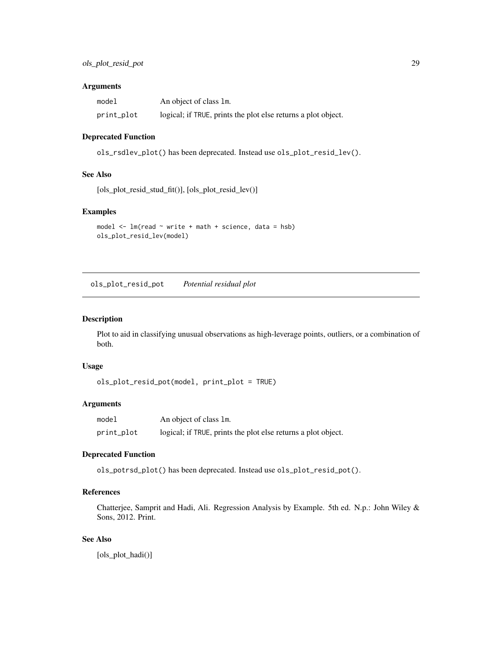### <span id="page-28-0"></span>Arguments

| model      | An object of class 1m.                                        |
|------------|---------------------------------------------------------------|
| print_plot | logical; if TRUE, prints the plot else returns a plot object. |

### Deprecated Function

ols\_rsdlev\_plot() has been deprecated. Instead use ols\_plot\_resid\_lev().

#### See Also

[ols\_plot\_resid\_stud\_fit()], [ols\_plot\_resid\_lev()]

### Examples

```
model \leq lm(read \sim write + math + science, data = hsb)
ols_plot_resid_lev(model)
```
ols\_plot\_resid\_pot *Potential residual plot*

### Description

Plot to aid in classifying unusual observations as high-leverage points, outliers, or a combination of both.

### Usage

```
ols_plot_resid_pot(model, print_plot = TRUE)
```
### Arguments

| model      | An object of class 1m.                                        |
|------------|---------------------------------------------------------------|
| print_plot | logical; if TRUE, prints the plot else returns a plot object. |

### Deprecated Function

ols\_potrsd\_plot() has been deprecated. Instead use ols\_plot\_resid\_pot().

### References

Chatterjee, Samprit and Hadi, Ali. Regression Analysis by Example. 5th ed. N.p.: John Wiley & Sons, 2012. Print.

### See Also

[ols\_plot\_hadi()]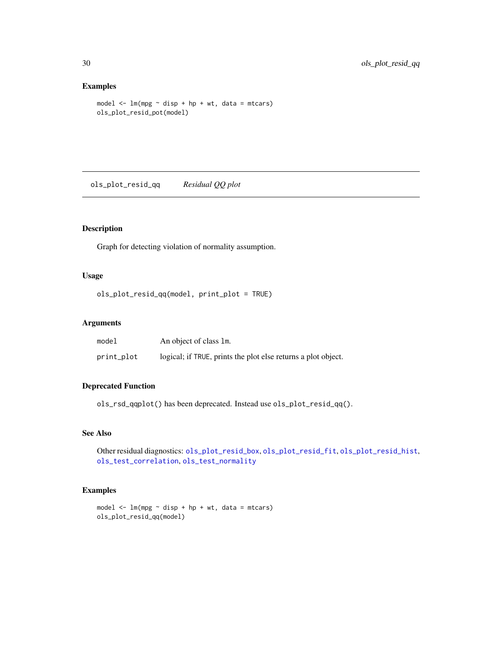### Examples

```
model \leq - \ln(mpg \sim \text{disp} + hp + wt, \text{ data} = mtcars)ols_plot_resid_pot(model)
```
<span id="page-29-1"></span>ols\_plot\_resid\_qq *Residual QQ plot*

### Description

Graph for detecting violation of normality assumption.

### Usage

ols\_plot\_resid\_qq(model, print\_plot = TRUE)

### Arguments

| model      | An object of class 1m.                                        |
|------------|---------------------------------------------------------------|
| print_plot | logical; if TRUE, prints the plot else returns a plot object. |

### Deprecated Function

ols\_rsd\_qqplot() has been deprecated. Instead use ols\_plot\_resid\_qq().

### See Also

Other residual diagnostics: [ols\\_plot\\_resid\\_box](#page-24-1), [ols\\_plot\\_resid\\_fit](#page-25-1), [ols\\_plot\\_resid\\_hist](#page-27-1), [ols\\_test\\_correlation](#page-65-1), [ols\\_test\\_normality](#page-67-1)

```
model \leq lm(mpg \sim disp + hp + wt, data = mtcars)
ols_plot_resid_qq(model)
```
<span id="page-29-0"></span>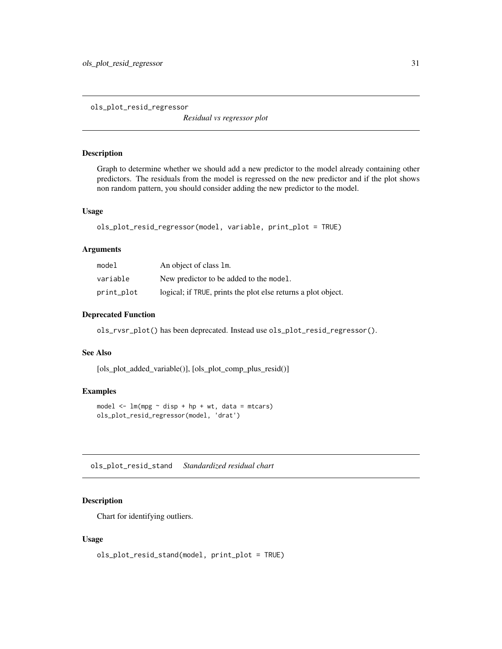<span id="page-30-0"></span>ols\_plot\_resid\_regressor

*Residual vs regressor plot*

### Description

Graph to determine whether we should add a new predictor to the model already containing other predictors. The residuals from the model is regressed on the new predictor and if the plot shows non random pattern, you should consider adding the new predictor to the model.

### Usage

```
ols_plot_resid_regressor(model, variable, print_plot = TRUE)
```
### Arguments

| model      | An object of class 1m.                                        |
|------------|---------------------------------------------------------------|
| variable   | New predictor to be added to the model.                       |
| print_plot | logical; if TRUE, prints the plot else returns a plot object. |

### Deprecated Function

ols\_rvsr\_plot() has been deprecated. Instead use ols\_plot\_resid\_regressor().

### See Also

[ols\_plot\_added\_variable()], [ols\_plot\_comp\_plus\_resid()]

### Examples

```
model \leq lm(mpg \sim disp + hp + wt, data = mtcars)
ols_plot_resid_regressor(model, 'drat')
```
ols\_plot\_resid\_stand *Standardized residual chart*

### Description

Chart for identifying outliers.

#### Usage

```
ols_plot_resid_stand(model, print_plot = TRUE)
```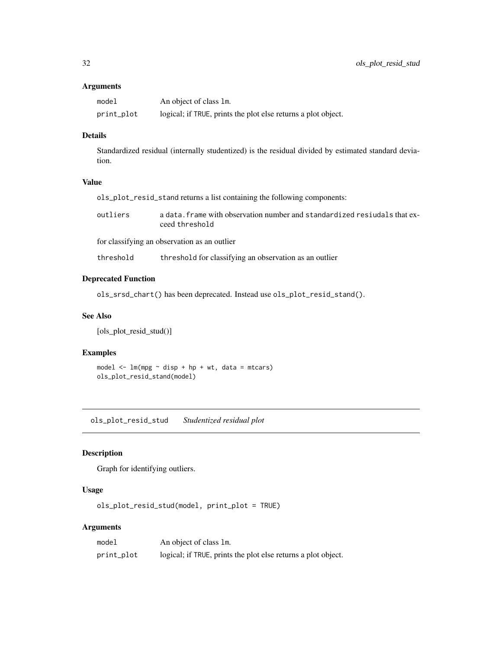### <span id="page-31-0"></span>Arguments

| model      | An object of class 1m.                                        |
|------------|---------------------------------------------------------------|
| print_plot | logical; if TRUE, prints the plot else returns a plot object. |

### Details

Standardized residual (internally studentized) is the residual divided by estimated standard deviation.

### Value

| ols_plot_resid_stand returns a list containing the following components: |  |
|--------------------------------------------------------------------------|--|
|                                                                          |  |

| outliers | a data, frame with observation number and standardized resiverals that ex- |
|----------|----------------------------------------------------------------------------|
|          | ceed threshold                                                             |

for classifying an observation as an outlier

threshold threshold for classifying an observation as an outlier

### Deprecated Function

ols\_srsd\_chart() has been deprecated. Instead use ols\_plot\_resid\_stand().

### See Also

[ols\_plot\_resid\_stud()]

### Examples

model  $\leq$  lm(mpg  $\sim$  disp + hp + wt, data = mtcars) ols\_plot\_resid\_stand(model)

ols\_plot\_resid\_stud *Studentized residual plot*

### Description

Graph for identifying outliers.

### Usage

ols\_plot\_resid\_stud(model, print\_plot = TRUE)

### Arguments

| model      | An object of class 1m.                                        |
|------------|---------------------------------------------------------------|
| print_plot | logical; if TRUE, prints the plot else returns a plot object. |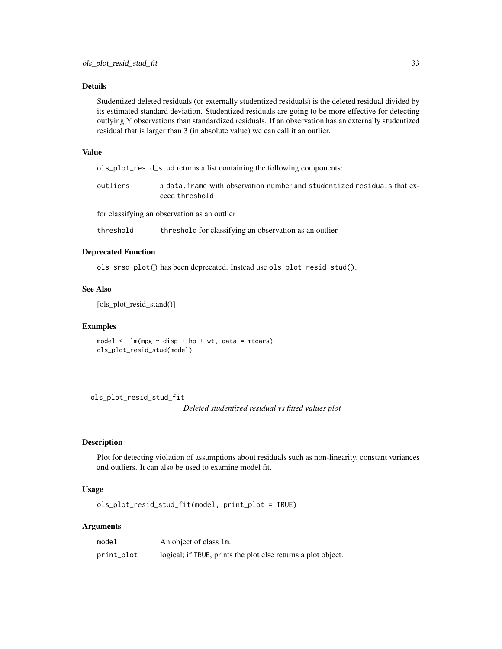### <span id="page-32-0"></span>Details

Studentized deleted residuals (or externally studentized residuals) is the deleted residual divided by its estimated standard deviation. Studentized residuals are going to be more effective for detecting outlying Y observations than standardized residuals. If an observation has an externally studentized residual that is larger than 3 (in absolute value) we can call it an outlier.

### Value

ols\_plot\_resid\_stud returns a list containing the following components:

| outliers | a data. frame with observation number and studentized residuals that ex- |
|----------|--------------------------------------------------------------------------|
|          | ceed threshold                                                           |

for classifying an observation as an outlier

threshold threshold for classifying an observation as an outlier

### Deprecated Function

ols\_srsd\_plot() has been deprecated. Instead use ols\_plot\_resid\_stud().

#### See Also

[ols\_plot\_resid\_stand()]

#### Examples

model  $\leq$  1m(mpg  $\sim$  disp + hp + wt, data = mtcars) ols\_plot\_resid\_stud(model)

ols\_plot\_resid\_stud\_fit

*Deleted studentized residual vs fitted values plot*

### Description

Plot for detecting violation of assumptions about residuals such as non-linearity, constant variances and outliers. It can also be used to examine model fit.

### Usage

ols\_plot\_resid\_stud\_fit(model, print\_plot = TRUE)

### Arguments

| model      | An object of class 1m.                                        |
|------------|---------------------------------------------------------------|
| print_plot | logical; if TRUE, prints the plot else returns a plot object. |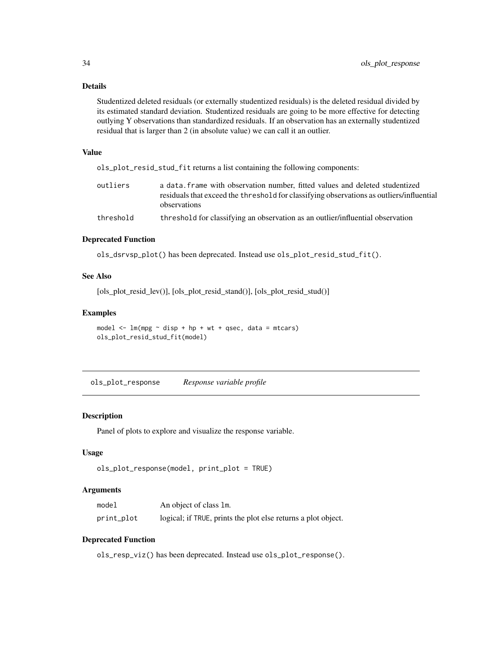### <span id="page-33-0"></span>Details

Studentized deleted residuals (or externally studentized residuals) is the deleted residual divided by its estimated standard deviation. Studentized residuals are going to be more effective for detecting outlying Y observations than standardized residuals. If an observation has an externally studentized residual that is larger than 2 (in absolute value) we can call it an outlier.

#### Value

ols\_plot\_resid\_stud\_fit returns a list containing the following components:

| outliers  | a data frame with observation number, fitted values and deleted studentized<br>residuals that exceed the threshold for classifying observations as outliers/influential |
|-----------|-------------------------------------------------------------------------------------------------------------------------------------------------------------------------|
|           | observations                                                                                                                                                            |
| threshold | threshold for classifying an observation as an outlier/influential observation                                                                                          |

#### Deprecated Function

ols\_dsrvsp\_plot() has been deprecated. Instead use ols\_plot\_resid\_stud\_fit().

#### See Also

[ols\_plot\_resid\_lev()], [ols\_plot\_resid\_stand()], [ols\_plot\_resid\_stud()]

#### Examples

```
model \leq - \ln(mpg \sim disp + hp + wt + qsec, data = mtcars)
ols_plot_resid_stud_fit(model)
```
ols\_plot\_response *Response variable profile*

### Description

Panel of plots to explore and visualize the response variable.

#### Usage

```
ols_plot_response(model, print_plot = TRUE)
```
#### Arguments

| model      | An object of class 1m.                                        |
|------------|---------------------------------------------------------------|
| print_plot | logical; if TRUE, prints the plot else returns a plot object. |

#### Deprecated Function

ols\_resp\_viz() has been deprecated. Instead use ols\_plot\_response().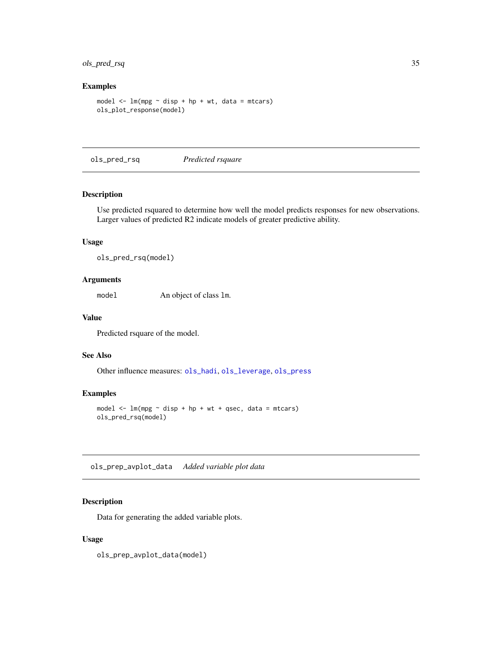### <span id="page-34-0"></span>ols\_pred\_rsq 35

### Examples

```
model \leq - \ln(mpg \sim \text{disp} + hp + wt, \text{ data} = mtcars)ols_plot_response(model)
```
<span id="page-34-1"></span>ols\_pred\_rsq *Predicted rsquare*

### Description

Use predicted rsquared to determine how well the model predicts responses for new observations. Larger values of predicted R2 indicate models of greater predictive ability.

#### Usage

ols\_pred\_rsq(model)

### Arguments

model An object of class lm.

### Value

Predicted rsquare of the model.

### See Also

Other influence measures: [ols\\_hadi](#page-10-1), [ols\\_leverage](#page-12-1), [ols\\_press](#page-42-1)

#### Examples

```
model \leq - \ln(mpg \sim disp + hp + wt + qsec, data = mtcars)
ols_pred_rsq(model)
```
ols\_prep\_avplot\_data *Added variable plot data*

### Description

Data for generating the added variable plots.

#### Usage

ols\_prep\_avplot\_data(model)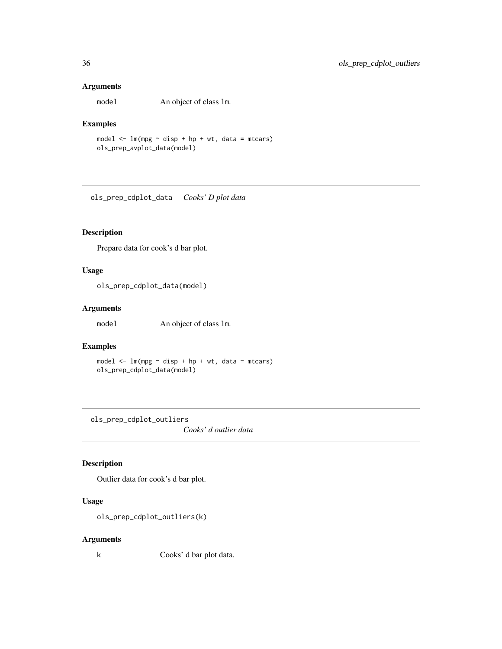### Arguments

model An object of class lm.

### Examples

model  $\leq$  lm(mpg  $\sim$  disp + hp + wt, data = mtcars) ols\_prep\_avplot\_data(model)

ols\_prep\_cdplot\_data *Cooks' D plot data*

### Description

Prepare data for cook's d bar plot.

### Usage

ols\_prep\_cdplot\_data(model)

### Arguments

model An object of class lm.

### Examples

model  $\leq -\ln(mpg \sim \text{disp} + hp + wt, \text{ data} = mtcars)$ ols\_prep\_cdplot\_data(model)

ols\_prep\_cdplot\_outliers

*Cooks' d outlier data*

### Description

Outlier data for cook's d bar plot.

### Usage

ols\_prep\_cdplot\_outliers(k)

### Arguments

k Cooks' d bar plot data.

<span id="page-35-0"></span>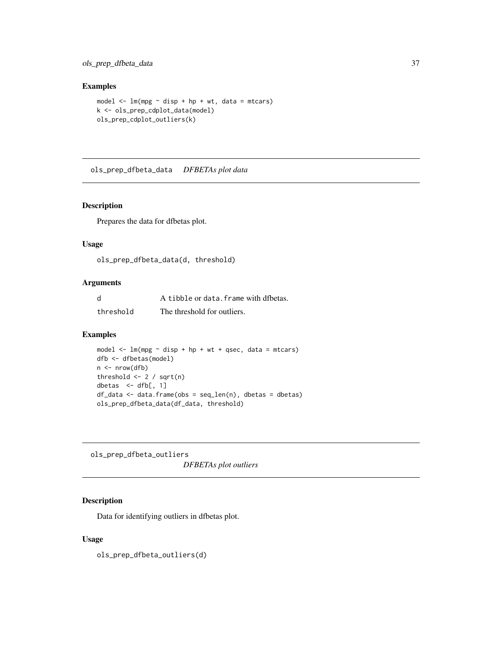ols\_prep\_dfbeta\_data 37

# Examples

```
model \leq lm(mpg \sim disp + hp + wt, data = mtcars)
k <- ols_prep_cdplot_data(model)
ols_prep_cdplot_outliers(k)
```
ols\_prep\_dfbeta\_data *DFBETAs plot data*

#### Description

Prepares the data for dfbetas plot.

### Usage

ols\_prep\_dfbeta\_data(d, threshold)

### Arguments

| d         | A tibble or data, frame with dfbetas. |
|-----------|---------------------------------------|
| threshold | The threshold for outliers.           |

### Examples

```
model \leq lm(mpg \sim disp + hp + wt + qsec, data = mtcars)
dfb <- dfbetas(model)
n \leq -nrow(dfb)threshold <-2 / sqrt(n)
dbetas \leq dfb[, 1]
df_data <- data.frame(obs = seq_len(n), dbetas = dbetas)
ols_prep_dfbeta_data(df_data, threshold)
```
ols\_prep\_dfbeta\_outliers *DFBETAs plot outliers*

## Description

Data for identifying outliers in dfbetas plot.

# Usage

ols\_prep\_dfbeta\_outliers(d)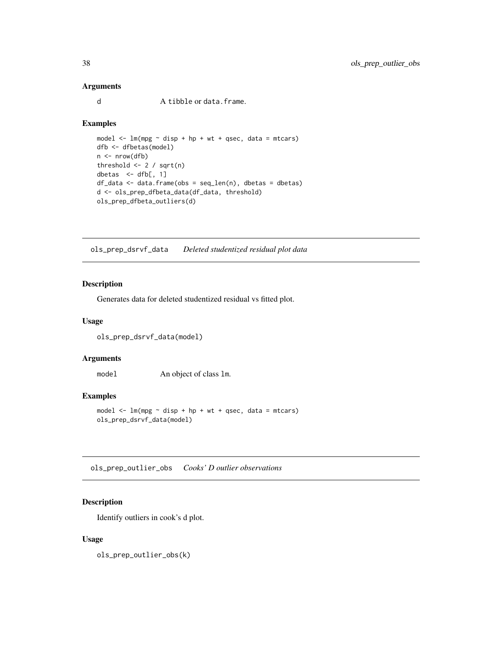## Arguments

d A tibble or data.frame.

#### Examples

```
model \leq lm(mpg \sim disp + hp + wt + qsec, data = mtcars)
dfb <- dfbetas(model)
n <- nrow(dfb)
threshold <- 2 / sqrt(n)
dbetas <- dfb[, 1]
df_data <- data.frame(obs = seq_len(n), dbetas = dbetas)
d <- ols_prep_dfbeta_data(df_data, threshold)
ols_prep_dfbeta_outliers(d)
```
ols\_prep\_dsrvf\_data *Deleted studentized residual plot data*

## Description

Generates data for deleted studentized residual vs fitted plot.

## Usage

```
ols_prep_dsrvf_data(model)
```
### Arguments

model An object of class lm.

## Examples

model  $\leq$  -  $\ln(mpg \sim$  disp + hp + wt + qsec, data = mtcars) ols\_prep\_dsrvf\_data(model)

ols\_prep\_outlier\_obs *Cooks' D outlier observations*

## Description

Identify outliers in cook's d plot.

### Usage

ols\_prep\_outlier\_obs(k)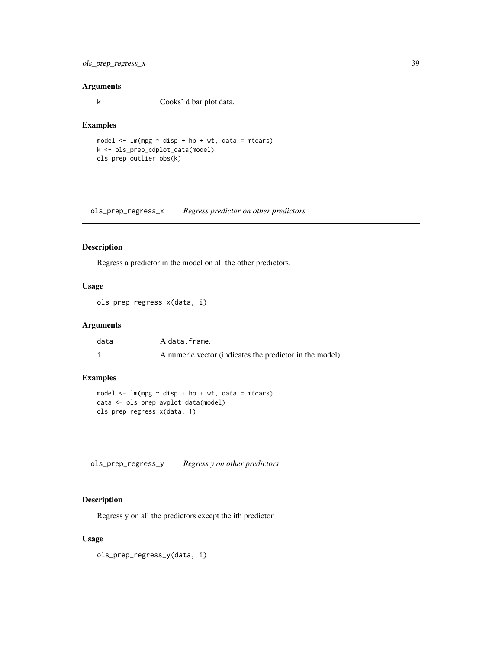## ols\_prep\_regress\_x 39

### Arguments

k Cooks' d bar plot data.

### Examples

```
model \leq -\ln(mpg \sim \text{disp} + hp + wt, \text{ data} = mtcars)k <- ols_prep_cdplot_data(model)
ols_prep_outlier_obs(k)
```
ols\_prep\_regress\_x *Regress predictor on other predictors*

### Description

Regress a predictor in the model on all the other predictors.

## Usage

```
ols_prep_regress_x(data, i)
```
### Arguments

| data | A data.frame.                                            |
|------|----------------------------------------------------------|
|      | A numeric vector (indicates the predictor in the model). |

## Examples

```
model \leq - \ln(mpg \sim \text{disp} + hp + wt, \text{ data} = mtcars)data <- ols_prep_avplot_data(model)
ols_prep_regress_x(data, 1)
```
ols\_prep\_regress\_y *Regress y on other predictors*

## Description

Regress y on all the predictors except the ith predictor.

### Usage

ols\_prep\_regress\_y(data, i)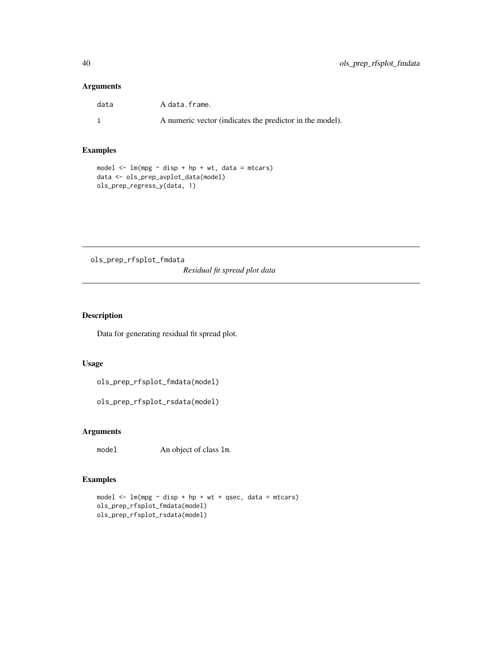## Arguments

| data | A data.frame.                                            |
|------|----------------------------------------------------------|
|      | A numeric vector (indicates the predictor in the model). |

### Examples

```
model \leq lm(mpg \sim disp + hp + wt, data = mtcars)
data <- ols_prep_avplot_data(model)
ols_prep_regress_y(data, 1)
```
ols\_prep\_rfsplot\_fmdata *Residual fit spread plot data*

## Description

Data for generating residual fit spread plot.

### Usage

ols\_prep\_rfsplot\_fmdata(model)

ols\_prep\_rfsplot\_rsdata(model)

## Arguments

model An object of class lm.

```
model <- lm(mpg ~ disp + hp + wt + qsec, data = mtcars)
ols_prep_rfsplot_fmdata(model)
ols_prep_rfsplot_rsdata(model)
```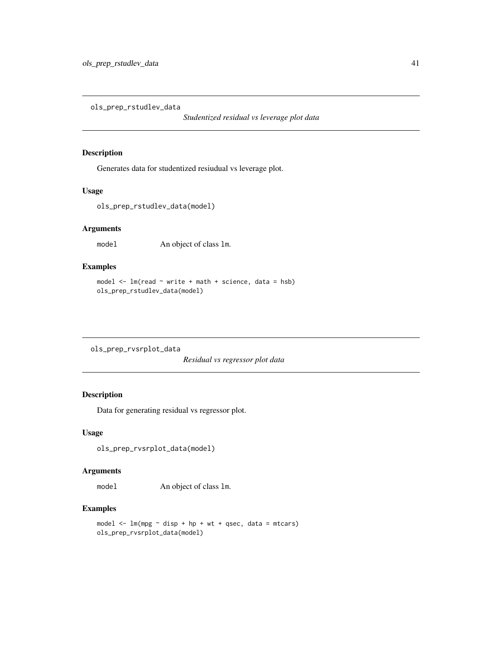ols\_prep\_rstudlev\_data

*Studentized residual vs leverage plot data*

### Description

Generates data for studentized resiudual vs leverage plot.

### Usage

```
ols_prep_rstudlev_data(model)
```
## Arguments

model An object of class lm.

# Examples

```
model <- lm(read ~ write + math + science, data = hsb)
ols_prep_rstudlev_data(model)
```
ols\_prep\_rvsrplot\_data

*Residual vs regressor plot data*

## Description

Data for generating residual vs regressor plot.

## Usage

ols\_prep\_rvsrplot\_data(model)

### Arguments

model An object of class lm.

```
model \leq - \ln(mpg \sim \text{disp} + hp + wt + qsec, \text{ data} = mtcars)ols_prep_rvsrplot_data(model)
```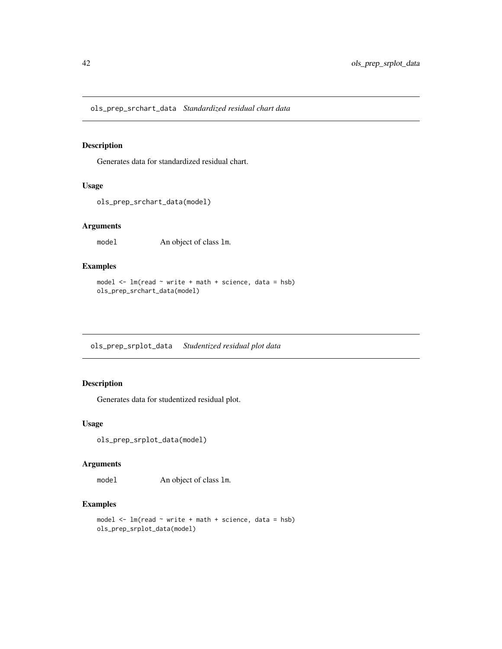ols\_prep\_srchart\_data *Standardized residual chart data*

### Description

Generates data for standardized residual chart.

### Usage

ols\_prep\_srchart\_data(model)

### Arguments

model An object of class lm.

# Examples

```
model <- lm(read ~ write + math + science, data = hsb)
ols_prep_srchart_data(model)
```
ols\_prep\_srplot\_data *Studentized residual plot data*

## Description

Generates data for studentized residual plot.

## Usage

```
ols_prep_srplot_data(model)
```
## Arguments

model An object of class lm.

```
model \leq lm(read \sim write + math + science, data = hsb)
ols_prep_srplot_data(model)
```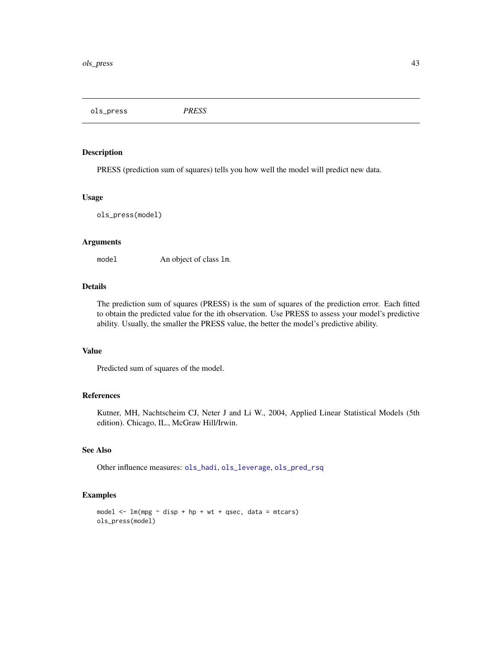ols\_press *PRESS*

## Description

PRESS (prediction sum of squares) tells you how well the model will predict new data.

#### Usage

ols\_press(model)

#### Arguments

model An object of class lm.

## Details

The prediction sum of squares (PRESS) is the sum of squares of the prediction error. Each fitted to obtain the predicted value for the ith observation. Use PRESS to assess your model's predictive ability. Usually, the smaller the PRESS value, the better the model's predictive ability.

## Value

Predicted sum of squares of the model.

### References

Kutner, MH, Nachtscheim CJ, Neter J and Li W., 2004, Applied Linear Statistical Models (5th edition). Chicago, IL., McGraw Hill/Irwin.

### See Also

Other influence measures: [ols\\_hadi](#page-10-0), [ols\\_leverage](#page-12-0), [ols\\_pred\\_rsq](#page-34-0)

```
model \leq lm(mpg \sim disp + hp + wt + qsec, data = mtcars)
ols_press(model)
```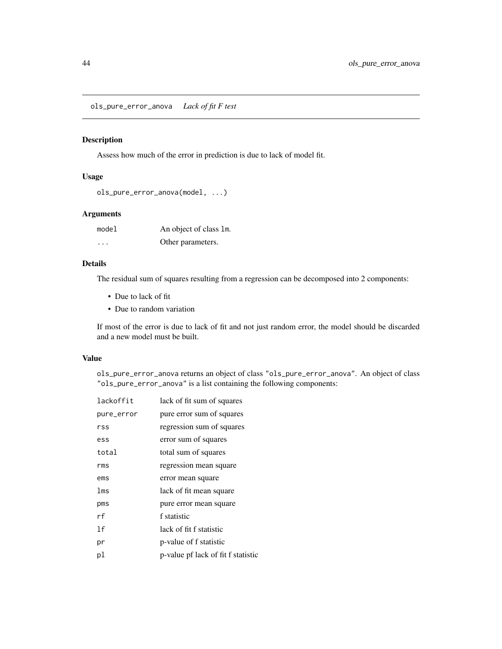ols\_pure\_error\_anova *Lack of fit F test*

## Description

Assess how much of the error in prediction is due to lack of model fit.

### Usage

```
ols_pure_error_anova(model, ...)
```
## Arguments

| model                | An object of class 1m. |
|----------------------|------------------------|
| $\ddot{\phantom{0}}$ | Other parameters.      |

## Details

The residual sum of squares resulting from a regression can be decomposed into 2 components:

- Due to lack of fit
- Due to random variation

If most of the error is due to lack of fit and not just random error, the model should be discarded and a new model must be built.

### Value

ols\_pure\_error\_anova returns an object of class "ols\_pure\_error\_anova". An object of class "ols\_pure\_error\_anova" is a list containing the following components:

| lackoffit      | lack of fit sum of squares         |
|----------------|------------------------------------|
| pure_error     | pure error sum of squares          |
| rss            | regression sum of squares          |
| ess            | error sum of squares               |
| total          | total sum of squares               |
| rms            | regression mean square             |
| ems            | error mean square                  |
| lms            | lack of fit mean square            |
| pms            | pure error mean square             |
| rf             | f statistic                        |
| 1 <sub>f</sub> | lack of fit f statistic            |
| рr             | p-value of f statistic             |
| рl             | p-value pf lack of fit f statistic |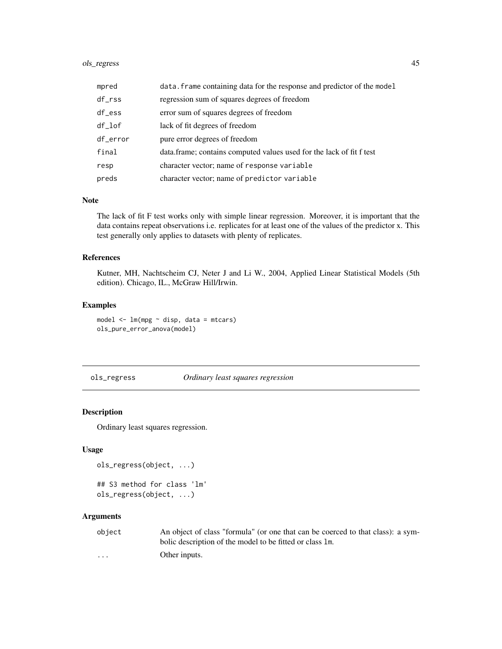## ols\_regress 45

| mpred               | data. frame containing data for the response and predictor of the model |
|---------------------|-------------------------------------------------------------------------|
| $df_{\texttt{rss}}$ | regression sum of squares degrees of freedom                            |
| $df$ ess            | error sum of squares degrees of freedom                                 |
| df_lof              | lack of fit degrees of freedom                                          |
| df_error            | pure error degrees of freedom                                           |
| final               | data.frame; contains computed values used for the lack of fit f test    |
| resp                | character vector; name of response variable                             |
| preds               | character vector; name of predictor variable                            |

#### Note

The lack of fit F test works only with simple linear regression. Moreover, it is important that the data contains repeat observations i.e. replicates for at least one of the values of the predictor x. This test generally only applies to datasets with plenty of replicates.

### References

Kutner, MH, Nachtscheim CJ, Neter J and Li W., 2004, Applied Linear Statistical Models (5th edition). Chicago, IL., McGraw Hill/Irwin.

### Examples

```
model \leq -\ln(mpg \sim \text{disp}, \text{data} = \text{mtcars})ols_pure_error_anova(model)
```
ols\_regress *Ordinary least squares regression*

## Description

Ordinary least squares regression.

#### Usage

```
ols_regress(object, ...)
## S3 method for class 'lm'
ols_regress(object, ...)
```
#### Arguments

| object                  | An object of class "formula" (or one that can be coerced to that class): a sym- |
|-------------------------|---------------------------------------------------------------------------------|
|                         | bolic description of the model to be fitted or class 1m.                        |
| $\cdot$ $\cdot$ $\cdot$ | Other inputs.                                                                   |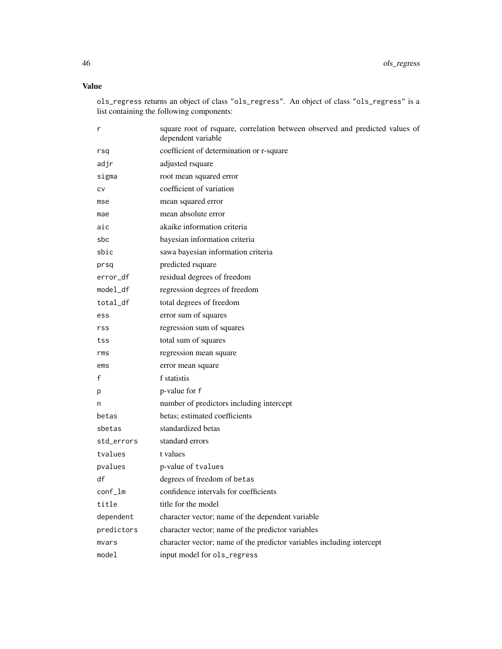## Value

ols\_regress returns an object of class "ols\_regress". An object of class "ols\_regress" is a list containing the following components:

| r          | square root of rsquare, correlation between observed and predicted values of<br>dependent variable |
|------------|----------------------------------------------------------------------------------------------------|
| rsq        | coefficient of determination or r-square                                                           |
| adjr       | adjusted rsquare                                                                                   |
| sigma      | root mean squared error                                                                            |
| CV         | coefficient of variation                                                                           |
| mse        | mean squared error                                                                                 |
| mae        | mean absolute error                                                                                |
| aic        | akaike information criteria                                                                        |
| sbc.       | bayesian information criteria                                                                      |
| sbic       | sawa bayesian information criteria                                                                 |
| prsq       | predicted rsquare                                                                                  |
| error_df   | residual degrees of freedom                                                                        |
| model_df   | regression degrees of freedom                                                                      |
| total_df   | total degrees of freedom                                                                           |
| ess        | error sum of squares                                                                               |
| rss        | regression sum of squares                                                                          |
| tss        | total sum of squares                                                                               |
| rms        | regression mean square                                                                             |
| ems        | error mean square                                                                                  |
| f          | f statistis                                                                                        |
| p          | p-value for f                                                                                      |
| n          | number of predictors including intercept                                                           |
| betas      | betas; estimated coefficients                                                                      |
| sbetas     | standardized betas                                                                                 |
| std_errors | standard errors                                                                                    |
| tvalues    | t values                                                                                           |
| pvalues    | p-value of tvalues                                                                                 |
| df         | degrees of freedom of betas                                                                        |
| conf_lm    | confidence intervals for coefficients                                                              |
| title      | title for the model                                                                                |
| dependent  | character vector; name of the dependent variable                                                   |
| predictors | character vector; name of the predictor variables                                                  |
| mvars      | character vector; name of the predictor variables including intercept                              |
| model      | input model for ols_regress                                                                        |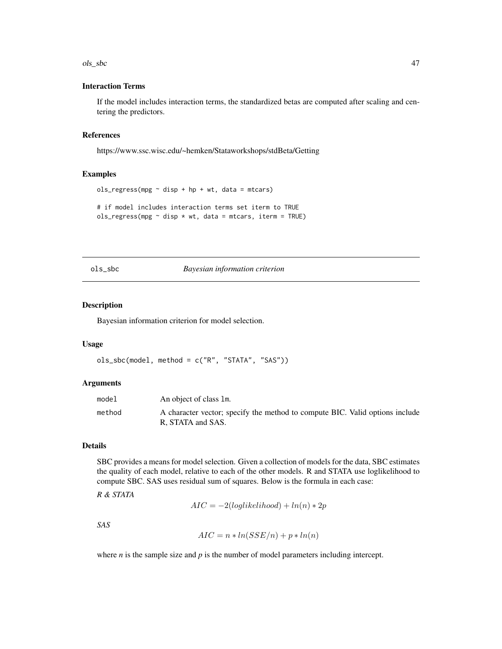#### ols\_sbc 47

### Interaction Terms

If the model includes interaction terms, the standardized betas are computed after scaling and centering the predictors.

### References

https://www.ssc.wisc.edu/~hemken/Stataworkshops/stdBeta/Getting

### Examples

```
ols\_regress(mpg \sim disp + hp + wt, data = mtcars)# if model includes interaction terms set iterm to TRUE
ols\_regress(mpg \sim disp * wt, data = mtcars, item = TRUE)
```
<span id="page-46-0"></span>ols\_sbc *Bayesian information criterion*

#### Description

Bayesian information criterion for model selection.

#### Usage

```
ols_sbc(model, method = c("R", "STATA", "SAS"))
```
## Arguments

| model  | An object of class 1m.                                                                            |
|--------|---------------------------------------------------------------------------------------------------|
| method | A character vector; specify the method to compute BIC. Valid options include<br>R. STATA and SAS. |

### Details

SBC provides a means for model selection. Given a collection of models for the data, SBC estimates the quality of each model, relative to each of the other models. R and STATA use loglikelihood to compute SBC. SAS uses residual sum of squares. Below is the formula in each case:

*R & STATA*

$$
AIC = -2(loglikelihood) + ln(n) * 2p
$$

*SAS*

$$
AIC = n * ln(SSE/n) + p * ln(n)
$$

where  $n$  is the sample size and  $p$  is the number of model parameters including intercept.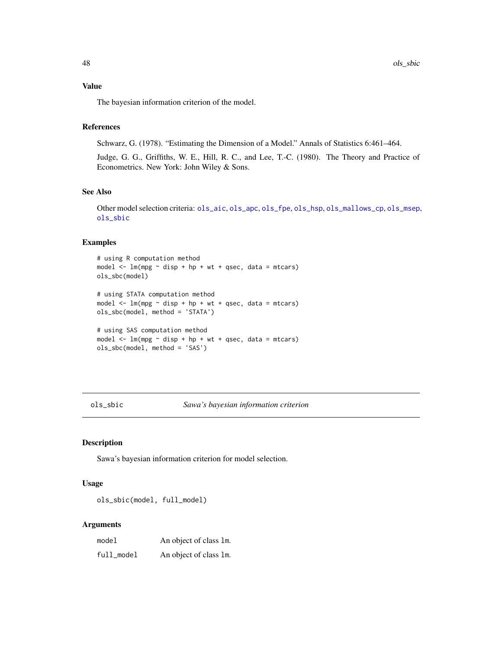Value

The bayesian information criterion of the model.

### References

Schwarz, G. (1978). "Estimating the Dimension of a Model." Annals of Statistics 6:461–464.

Judge, G. G., Griffiths, W. E., Hill, R. C., and Lee, T.-C. (1980). The Theory and Practice of Econometrics. New York: John Wiley & Sons.

### See Also

Other model selection criteria: [ols\\_aic](#page-4-0), [ols\\_apc](#page-5-0), [ols\\_fpe](#page-9-0), [ols\\_hsp](#page-11-0), [ols\\_mallows\\_cp](#page-13-0), [ols\\_msep](#page-14-0), [ols\\_sbic](#page-47-0)

## Examples

```
# using R computation method
model \leq lm(mpg \sim disp + hp + wt + qsec, data = mtcars)
ols_sbc(model)
# using STATA computation method
model \leq lm(mpg \sim disp + hp + wt + qsec, data = mtcars)
ols_sbc(model, method = 'STATA')
# using SAS computation method
model \leq - \ln(mpg \sim disp + hp + wt + qsec, data = mtcars)
ols_sbc(model, method = 'SAS')
```
<span id="page-47-0"></span>ols\_sbic *Sawa's bayesian information criterion*

#### Description

Sawa's bayesian information criterion for model selection.

#### Usage

ols\_sbic(model, full\_model)

#### Arguments

| model      | An object of class 1m. |
|------------|------------------------|
| full_model | An object of class 1m. |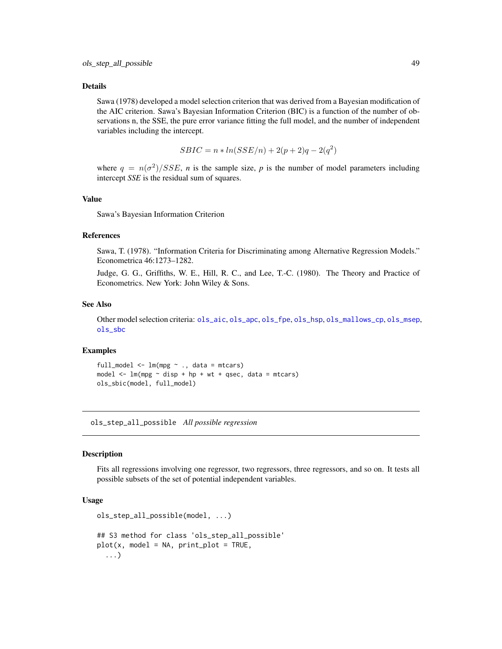#### Details

Sawa (1978) developed a model selection criterion that was derived from a Bayesian modification of the AIC criterion. Sawa's Bayesian Information Criterion (BIC) is a function of the number of observations n, the SSE, the pure error variance fitting the full model, and the number of independent variables including the intercept.

$$
SBIC = n * ln(SSE/n) + 2(p + 2)q - 2(q^{2})
$$

where  $q = n(\sigma^2)/SSE$ , *n* is the sample size, *p* is the number of model parameters including intercept *SSE* is the residual sum of squares.

#### Value

Sawa's Bayesian Information Criterion

#### References

Sawa, T. (1978). "Information Criteria for Discriminating among Alternative Regression Models." Econometrica 46:1273–1282.

Judge, G. G., Griffiths, W. E., Hill, R. C., and Lee, T.-C. (1980). The Theory and Practice of Econometrics. New York: John Wiley & Sons.

#### See Also

Other model selection criteria: [ols\\_aic](#page-4-0), [ols\\_apc](#page-5-0), [ols\\_fpe](#page-9-0), [ols\\_hsp](#page-11-0), [ols\\_mallows\\_cp](#page-13-0), [ols\\_msep](#page-14-0), [ols\\_sbc](#page-46-0)

## Examples

full\_model  $\leq$  lm(mpg  $\sim$  ., data = mtcars) model  $\leq$  -  $\ln(mpg \sim$  disp + hp + wt + qsec, data = mtcars) ols\_sbic(model, full\_model)

<span id="page-48-0"></span>ols\_step\_all\_possible *All possible regression*

#### **Description**

Fits all regressions involving one regressor, two regressors, three regressors, and so on. It tests all possible subsets of the set of potential independent variables.

### Usage

```
ols_step_all_possible(model, ...)
## S3 method for class 'ols_step_all_possible'
plot(x, model = NA, print_plot = TRUE,...)
```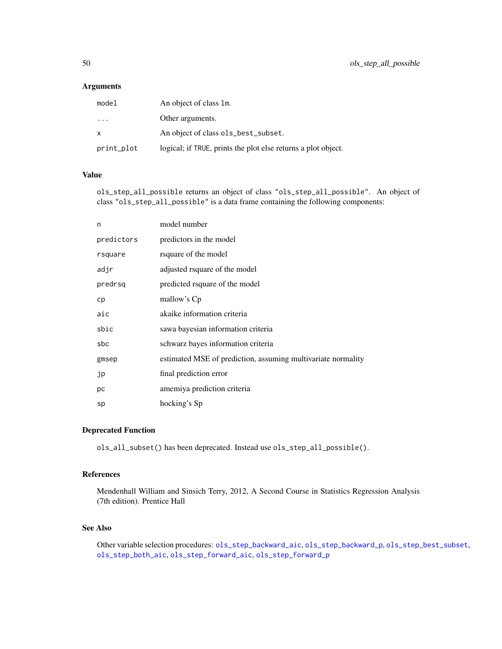## Arguments

| model                   | An object of class 1m.                                        |
|-------------------------|---------------------------------------------------------------|
| $\cdot$ $\cdot$ $\cdot$ | Other arguments.                                              |
| $\mathsf{x}$            | An object of class ols_best_subset.                           |
| print_plot              | logical; if TRUE, prints the plot else returns a plot object. |

### Value

ols\_step\_all\_possible returns an object of class "ols\_step\_all\_possible". An object of class "ols\_step\_all\_possible" is a data frame containing the following components:

| n          | model number                                                 |
|------------|--------------------------------------------------------------|
| predictors | predictors in the model                                      |
| rsquare    | rsquare of the model                                         |
| adjr       | adjusted rsquare of the model                                |
| predrsq    | predicted rsquare of the model                               |
| cp         | mallow's Cp                                                  |
| aic        | akaike information criteria                                  |
| sbic       | sawa bayesian information criteria                           |
| sbc        | schwarz bayes information criteria                           |
| gmsep      | estimated MSE of prediction, assuming multivariate normality |
| jp         | final prediction error                                       |
| рc         | amemiya prediction criteria                                  |
| sp         | hocking's Sp                                                 |

### Deprecated Function

ols\_all\_subset() has been deprecated. Instead use ols\_step\_all\_possible().

### References

Mendenhall William and Sinsich Terry, 2012, A Second Course in Statistics Regression Analysis (7th edition). Prentice Hall

### See Also

Other variable selection procedures: [ols\\_step\\_backward\\_aic](#page-51-0), [ols\\_step\\_backward\\_p](#page-52-0), [ols\\_step\\_best\\_subset](#page-54-0), [ols\\_step\\_both\\_aic](#page-55-0), [ols\\_step\\_forward\\_aic](#page-59-0), [ols\\_step\\_forward\\_p](#page-60-0)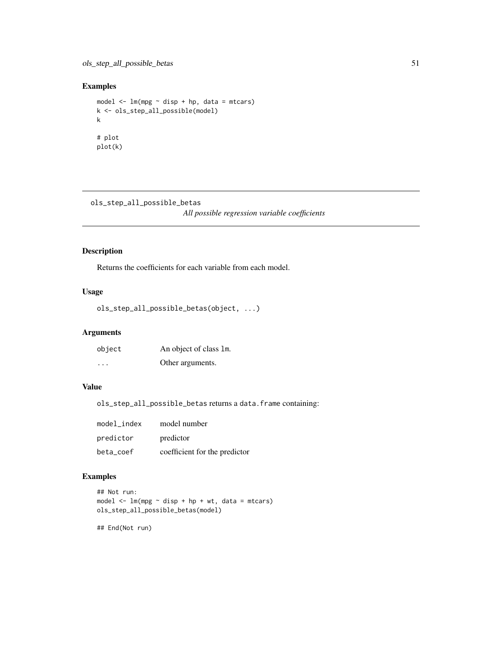## Examples

```
model <- lm(mpg ~ disp + hp, data = mtcars)
k <- ols_step_all_possible(model)
k
# plot
plot(k)
```
ols\_step\_all\_possible\_betas

*All possible regression variable coefficients*

## Description

Returns the coefficients for each variable from each model.

### Usage

```
ols_step_all_possible_betas(object, ...)
```
## Arguments

| object  | An object of class 1m. |
|---------|------------------------|
| $\cdot$ | Other arguments.       |

## Value

ols\_step\_all\_possible\_betas returns a data.frame containing:

| model index | model number                  |
|-------------|-------------------------------|
| predictor   | predictor                     |
| beta coef   | coefficient for the predictor |

## Examples

```
## Not run:
model \leq lm(mpg \sim disp + hp + wt, data = mtcars)
ols_step_all_possible_betas(model)
```
## End(Not run)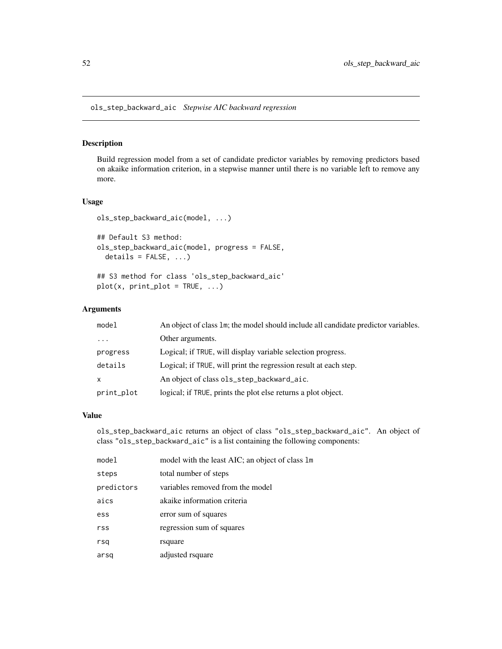<span id="page-51-0"></span>ols\_step\_backward\_aic *Stepwise AIC backward regression*

## Description

Build regression model from a set of candidate predictor variables by removing predictors based on akaike information criterion, in a stepwise manner until there is no variable left to remove any more.

### Usage

```
ols_step_backward_aic(model, ...)
```

```
## Default S3 method:
ols_step_backward_aic(model, progress = FALSE,
  details = FALSE, ...)
```
## S3 method for class 'ols\_step\_backward\_aic'  $plot(x, print\_plot = TRUE, ...)$ 

### Arguments

| model      | An object of class 1m; the model should include all candidate predictor variables. |
|------------|------------------------------------------------------------------------------------|
| $\ddotsc$  | Other arguments.                                                                   |
| progress   | Logical; if TRUE, will display variable selection progress.                        |
| details    | Logical; if TRUE, will print the regression result at each step.                   |
| X          | An object of class ols_step_backward_aic.                                          |
| print_plot | logical; if TRUE, prints the plot else returns a plot object.                      |

### Value

ols\_step\_backward\_aic returns an object of class "ols\_step\_backward\_aic". An object of class "ols\_step\_backward\_aic" is a list containing the following components:

| model      | model with the least AIC; an object of class 1m |
|------------|-------------------------------------------------|
| steps      | total number of steps                           |
| predictors | variables removed from the model                |
| aics       | akaike information criteria                     |
| ess        | error sum of squares                            |
| rss        | regression sum of squares                       |
| rsq        | rsquare                                         |
| arsq       | adjusted rsquare                                |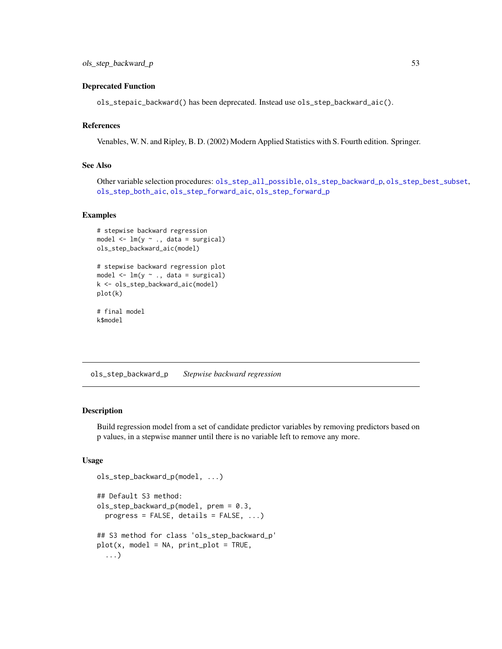### Deprecated Function

ols\_stepaic\_backward() has been deprecated. Instead use ols\_step\_backward\_aic().

# References

Venables, W. N. and Ripley, B. D. (2002) Modern Applied Statistics with S. Fourth edition. Springer.

## See Also

Other variable selection procedures: [ols\\_step\\_all\\_possible](#page-48-0), [ols\\_step\\_backward\\_p](#page-52-0), [ols\\_step\\_best\\_subset](#page-54-0), [ols\\_step\\_both\\_aic](#page-55-0), [ols\\_step\\_forward\\_aic](#page-59-0), [ols\\_step\\_forward\\_p](#page-60-0)

### Examples

```
# stepwise backward regression
model \leq lm(y \sim ., data = surgical)
ols_step_backward_aic(model)
# stepwise backward regression plot
model \leq -\ln(y \sim ., \text{ data = surgical)}k <- ols_step_backward_aic(model)
plot(k)
# final model
k$model
```
<span id="page-52-0"></span>ols\_step\_backward\_p *Stepwise backward regression*

#### **Description**

Build regression model from a set of candidate predictor variables by removing predictors based on p values, in a stepwise manner until there is no variable left to remove any more.

### Usage

```
ols_step_backward_p(model, ...)
## Default S3 method:
ols_step_backward_p(model, prem = 0.3,
 progress = FALSE, details = FALSE, ...)
## S3 method for class 'ols_step_backward_p'
plot(x, model = NA, print_plot = TRUE,...)
```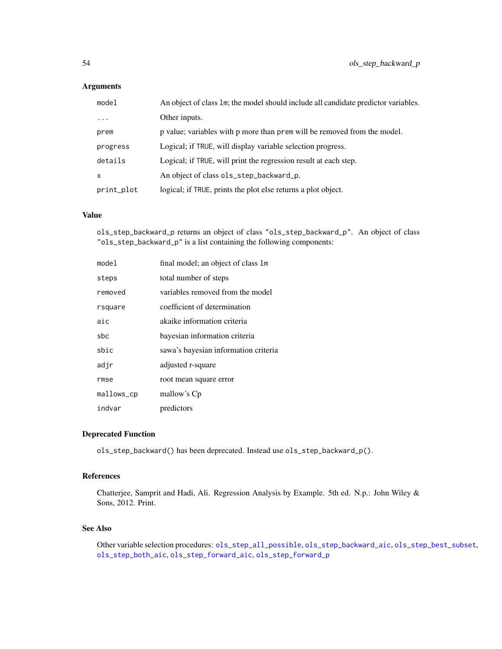# Arguments

| model      | An object of class 1m; the model should include all candidate predictor variables. |
|------------|------------------------------------------------------------------------------------|
| $\ddotsc$  | Other inputs.                                                                      |
| prem       | p value; variables with p more than prem will be removed from the model.           |
| progress   | Logical; if TRUE, will display variable selection progress.                        |
| details    | Logical; if TRUE, will print the regression result at each step.                   |
| x          | An object of class ols_step_backward_p.                                            |
| print_plot | logical; if TRUE, prints the plot else returns a plot object.                      |

### Value

ols\_step\_backward\_p returns an object of class "ols\_step\_backward\_p". An object of class "ols\_step\_backward\_p" is a list containing the following components:

| model      | final model; an object of class 1m   |
|------------|--------------------------------------|
| steps      | total number of steps                |
| removed    | variables removed from the model     |
| rsquare    | coefficient of determination         |
| aic        | akaike information criteria          |
| sbc        | bayesian information criteria        |
| sbic       | sawa's bayesian information criteria |
| adjr       | adjusted r-square                    |
| rmse       | root mean square error               |
| mallows_cp | mallow's Cp                          |
| indvar     | predictors                           |

### Deprecated Function

ols\_step\_backward() has been deprecated. Instead use ols\_step\_backward\_p().

### References

Chatterjee, Samprit and Hadi, Ali. Regression Analysis by Example. 5th ed. N.p.: John Wiley & Sons, 2012. Print.

### See Also

Other variable selection procedures: [ols\\_step\\_all\\_possible](#page-48-0), [ols\\_step\\_backward\\_aic](#page-51-0), [ols\\_step\\_best\\_subset](#page-54-0), [ols\\_step\\_both\\_aic](#page-55-0), [ols\\_step\\_forward\\_aic](#page-59-0), [ols\\_step\\_forward\\_p](#page-60-0)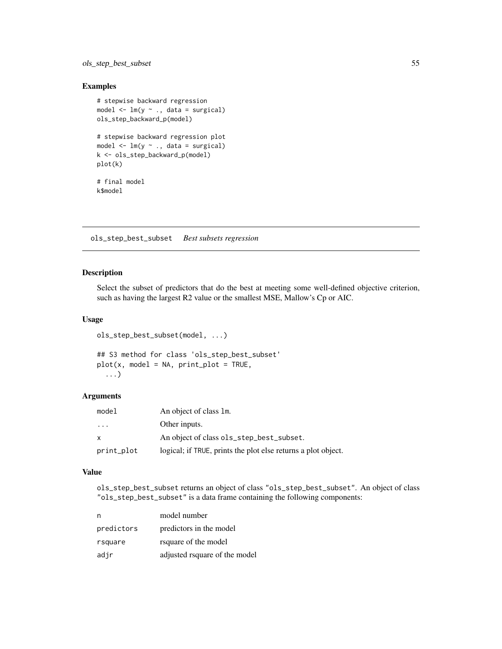ols\_step\_best\_subset 55

### Examples

```
# stepwise backward regression
model \leq lm(y \sim ., data = surgical)
ols_step_backward_p(model)
# stepwise backward regression plot
model \leq -\ln(y \sim ., \text{ data = surgical)}k <- ols_step_backward_p(model)
plot(k)
# final model
k$model
```
<span id="page-54-0"></span>ols\_step\_best\_subset *Best subsets regression*

#### Description

Select the subset of predictors that do the best at meeting some well-defined objective criterion, such as having the largest R2 value or the smallest MSE, Mallow's Cp or AIC.

## Usage

```
ols_step_best_subset(model, ...)
```

```
## S3 method for class 'ols_step_best_subset'
plot(x, model = NA, print_plot = TRUE,...)
```
## Arguments

| model        | An object of class 1m.                                        |
|--------------|---------------------------------------------------------------|
| .            | Other inputs.                                                 |
| $\mathbf{x}$ | An object of class ols_step_best_subset.                      |
| print_plot   | logical; if TRUE, prints the plot else returns a plot object. |

## Value

ols\_step\_best\_subset returns an object of class "ols\_step\_best\_subset". An object of class "ols\_step\_best\_subset" is a data frame containing the following components:

| n          | model number                  |
|------------|-------------------------------|
| predictors | predictors in the model       |
| rsquare    | rsquare of the model          |
| adjr       | adjusted rsquare of the model |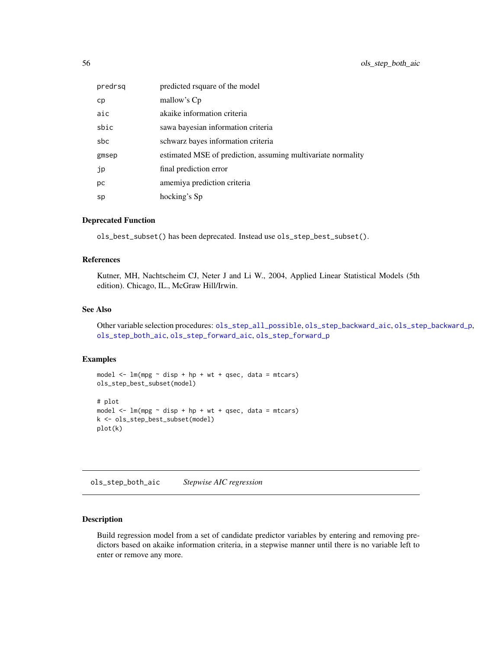| predrsg | predicted rsquare of the model                               |
|---------|--------------------------------------------------------------|
| cp      | mallow's Cp                                                  |
| aic     | akaike information criteria                                  |
| sbic    | sawa bayesian information criteria                           |
| sbc     | schwarz bayes information criteria                           |
| gmsep   | estimated MSE of prediction, assuming multivariate normality |
| jp      | final prediction error                                       |
| рc      | amemiya prediction criteria                                  |
| sp      | hocking's Sp                                                 |

### Deprecated Function

ols\_best\_subset() has been deprecated. Instead use ols\_step\_best\_subset().

#### References

Kutner, MH, Nachtscheim CJ, Neter J and Li W., 2004, Applied Linear Statistical Models (5th edition). Chicago, IL., McGraw Hill/Irwin.

#### See Also

Other variable selection procedures: [ols\\_step\\_all\\_possible](#page-48-0), [ols\\_step\\_backward\\_aic](#page-51-0), [ols\\_step\\_backward\\_p](#page-52-0), [ols\\_step\\_both\\_aic](#page-55-0), [ols\\_step\\_forward\\_aic](#page-59-0), [ols\\_step\\_forward\\_p](#page-60-0)

#### Examples

```
model \leq - \ln(mpg \sim disp + hp + wt + qsec, data = mtcars)
ols_step_best_subset(model)
# plot
model \leq lm(mpg \sim disp + hp + wt + qsec, data = mtcars)
k <- ols_step_best_subset(model)
plot(k)
```
<span id="page-55-0"></span>ols\_step\_both\_aic *Stepwise AIC regression*

### Description

Build regression model from a set of candidate predictor variables by entering and removing predictors based on akaike information criteria, in a stepwise manner until there is no variable left to enter or remove any more.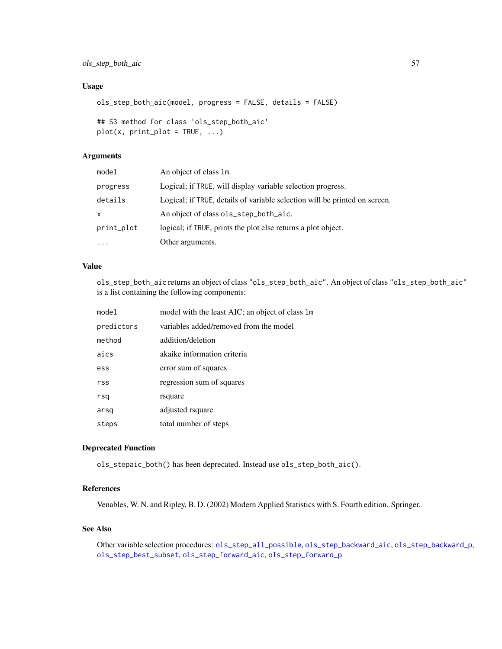ols\_step\_both\_aic 57

### Usage

```
ols_step_both_aic(model, progress = FALSE, details = FALSE)
```

```
## S3 method for class 'ols_step_both_aic'
plot(x, print\_plot = TRUE, ...)
```
### Arguments

| model      | An object of class 1m.                                                     |
|------------|----------------------------------------------------------------------------|
| progress   | Logical; if TRUE, will display variable selection progress.                |
| details    | Logical; if TRUE, details of variable selection will be printed on screen. |
| X.         | An object of class ols_step_both_aic.                                      |
| print_plot | logical; if TRUE, prints the plot else returns a plot object.              |
| $\ddotsc$  | Other arguments.                                                           |

## Value

ols\_step\_both\_aic returns an object of class "ols\_step\_both\_aic". An object of class "ols\_step\_both\_aic" is a list containing the following components:

| mode1      | model with the least AIC; an object of class 1m |
|------------|-------------------------------------------------|
| predictors | variables added/removed from the model          |
| method     | addition/deletion                               |
| aics       | akaike information criteria                     |
| ess        | error sum of squares                            |
| rss        | regression sum of squares                       |
| rsq        | rsquare                                         |
| arsq       | adjusted rsquare                                |
| steps      | total number of steps                           |

### Deprecated Function

ols\_stepaic\_both() has been deprecated. Instead use ols\_step\_both\_aic().

# References

Venables, W. N. and Ripley, B. D. (2002) Modern Applied Statistics with S. Fourth edition. Springer.

## See Also

Other variable selection procedures: [ols\\_step\\_all\\_possible](#page-48-0), [ols\\_step\\_backward\\_aic](#page-51-0), [ols\\_step\\_backward\\_p](#page-52-0), [ols\\_step\\_best\\_subset](#page-54-0), [ols\\_step\\_forward\\_aic](#page-59-0), [ols\\_step\\_forward\\_p](#page-60-0)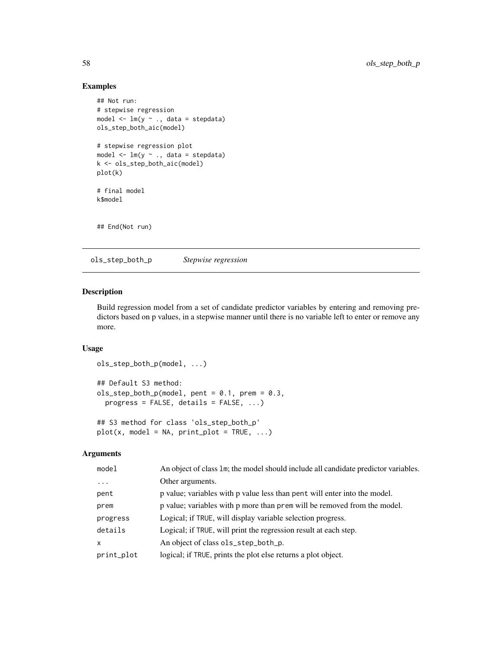# Examples

```
## Not run:
# stepwise regression
model \leq -\ln(y \sim ., \text{data} = \text{stepdata})ols_step_both_aic(model)
# stepwise regression plot
model \leq -\ln(y \sim ., \text{ data = stepdata})k <- ols_step_both_aic(model)
plot(k)
# final model
k$model
## End(Not run)
```
ols\_step\_both\_p *Stepwise regression*

#### Description

Build regression model from a set of candidate predictor variables by entering and removing predictors based on p values, in a stepwise manner until there is no variable left to enter or remove any more.

### Usage

```
ols_step_both_p(model, ...)
## Default S3 method:
ols\_step\_both\_p(model, pent = 0.1, prem = 0.3,progress = FALSE, details = FALSE, ...)
## S3 method for class 'ols_step_both_p'
```

```
plot(x, model = NA, print\_plot = TRUE, ...)
```
## Arguments

| model      | An object of class 1m; the model should include all candidate predictor variables. |
|------------|------------------------------------------------------------------------------------|
| $\ddots$   | Other arguments.                                                                   |
| pent       | p value; variables with p value less than pent will enter into the model.          |
| prem       | p value; variables with p more than prem will be removed from the model.           |
| progress   | Logical; if TRUE, will display variable selection progress.                        |
| details    | Logical; if TRUE, will print the regression result at each step.                   |
| X          | An object of class ols_step_both_p.                                                |
| print_plot | logical; if TRUE, prints the plot else returns a plot object.                      |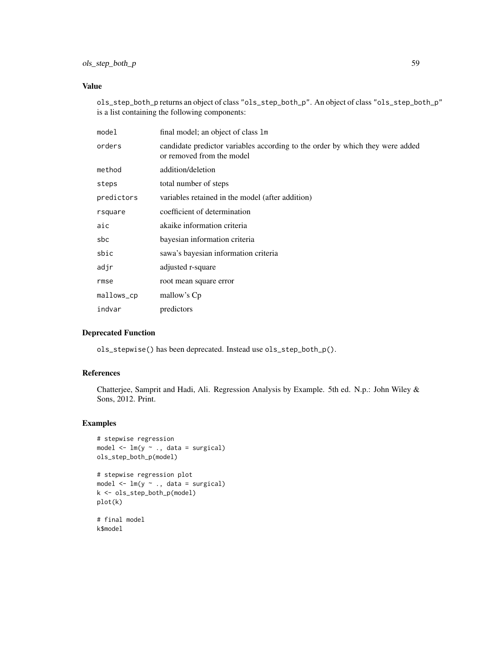## ols\_step\_both\_p 59

## Value

ols\_step\_both\_p returns an object of class "ols\_step\_both\_p". An object of class "ols\_step\_both\_p" is a list containing the following components:

| model      | final model; an object of class 1m                                                                         |
|------------|------------------------------------------------------------------------------------------------------------|
| orders     | candidate predictor variables according to the order by which they were added<br>or removed from the model |
| method     | addition/deletion                                                                                          |
| steps      | total number of steps                                                                                      |
| predictors | variables retained in the model (after addition)                                                           |
| rsquare    | coefficient of determination                                                                               |
| aic        | akaike information criteria                                                                                |
| sbc        | bayesian information criteria                                                                              |
| sbic       | sawa's bayesian information criteria                                                                       |
| adjr       | adjusted r-square                                                                                          |
| rmse       | root mean square error                                                                                     |
| mallows_cp | mallow's Cp                                                                                                |
| indvar     | predictors                                                                                                 |

## Deprecated Function

ols\_stepwise() has been deprecated. Instead use ols\_step\_both\_p().

## References

Chatterjee, Samprit and Hadi, Ali. Regression Analysis by Example. 5th ed. N.p.: John Wiley & Sons, 2012. Print.

```
# stepwise regression
model \leq lm(y \sim ., data = surgical)
ols_step_both_p(model)
# stepwise regression plot
model \leq -\ln(y \sim ., \text{ data = surgical)}k <- ols_step_both_p(model)
plot(k)
# final model
k$model
```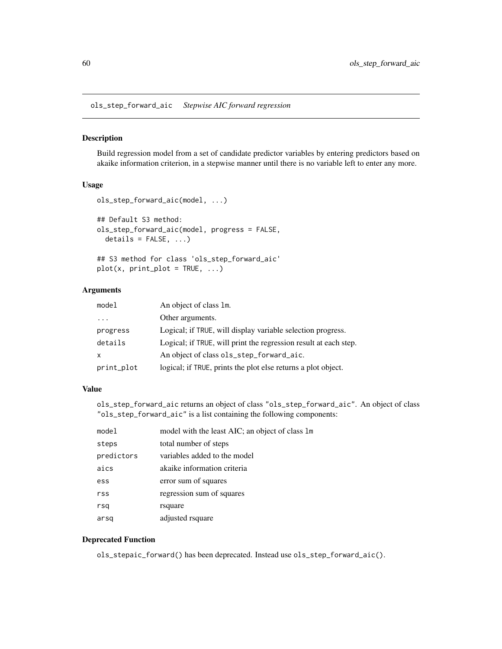<span id="page-59-0"></span>ols\_step\_forward\_aic *Stepwise AIC forward regression*

### Description

Build regression model from a set of candidate predictor variables by entering predictors based on akaike information criterion, in a stepwise manner until there is no variable left to enter any more.

## Usage

```
ols_step_forward_aic(model, ...)
## Default S3 method:
ols_step_forward_aic(model, progress = FALSE,
  details = FALSE, ...)
## S3 method for class 'ols_step_forward_aic'
```

```
plot(x, print\_plot = TRUE, ...)
```
### Arguments

| model                   | An object of class 1m.                                           |
|-------------------------|------------------------------------------------------------------|
| $\cdot$ $\cdot$ $\cdot$ | Other arguments.                                                 |
| progress                | Logical; if TRUE, will display variable selection progress.      |
| details                 | Logical; if TRUE, will print the regression result at each step. |
| X                       | An object of class ols_step_forward_aic.                         |
| print_plot              | logical; if TRUE, prints the plot else returns a plot object.    |

### Value

ols\_step\_forward\_aic returns an object of class "ols\_step\_forward\_aic". An object of class "ols\_step\_forward\_aic" is a list containing the following components:

| model      | model with the least AIC; an object of class 1m |
|------------|-------------------------------------------------|
| steps      | total number of steps                           |
| predictors | variables added to the model                    |
| aics       | akaike information criteria                     |
| ess        | error sum of squares                            |
| rss        | regression sum of squares                       |
| rsq        | rsquare                                         |
| arsq       | adjusted rsquare                                |

### Deprecated Function

ols\_stepaic\_forward() has been deprecated. Instead use ols\_step\_forward\_aic().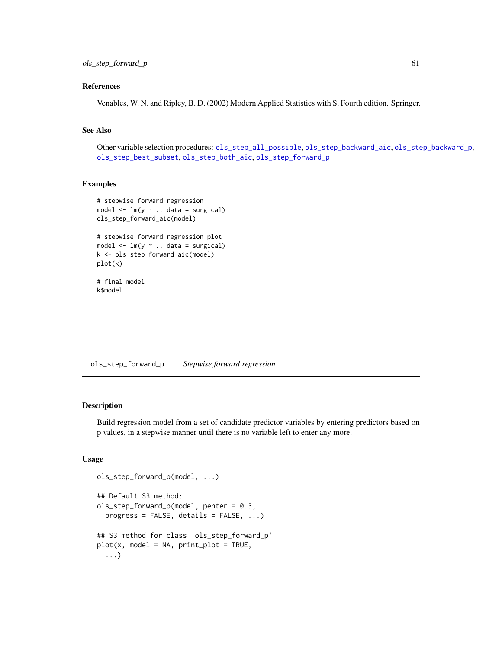## References

Venables, W. N. and Ripley, B. D. (2002) Modern Applied Statistics with S. Fourth edition. Springer.

## See Also

Other variable selection procedures: [ols\\_step\\_all\\_possible](#page-48-0), [ols\\_step\\_backward\\_aic](#page-51-0), [ols\\_step\\_backward\\_p](#page-52-0), [ols\\_step\\_best\\_subset](#page-54-0), [ols\\_step\\_both\\_aic](#page-55-0), [ols\\_step\\_forward\\_p](#page-60-0)

## Examples

```
# stepwise forward regression
model \leq lm(y \sim ., data = surgical)
ols_step_forward_aic(model)
# stepwise forward regression plot
model \leq lm(y \sim ., data = surgical)
k <- ols_step_forward_aic(model)
plot(k)
# final model
k$model
```
<span id="page-60-0"></span>ols\_step\_forward\_p *Stepwise forward regression*

### Description

Build regression model from a set of candidate predictor variables by entering predictors based on p values, in a stepwise manner until there is no variable left to enter any more.

## Usage

```
ols_step_forward_p(model, ...)
## Default S3 method:
ols_step_forward_p(model, penter = 0.3,
 progress = FALSE, details = FALSE, ...)
## S3 method for class 'ols_step_forward_p'
plot(x, model = NA, print_plot = TRUE,...)
```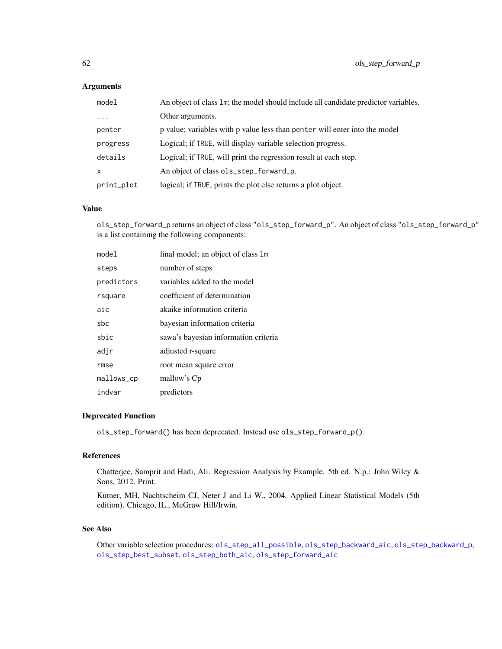### Arguments

| model      | An object of class 1m; the model should include all candidate predictor variables. |
|------------|------------------------------------------------------------------------------------|
| $\cdots$   | Other arguments.                                                                   |
| penter     | p value; variables with p value less than penter will enter into the model         |
| progress   | Logical; if TRUE, will display variable selection progress.                        |
| details    | Logical; if TRUE, will print the regression result at each step.                   |
| x          | An object of class ols_step_forward_p.                                             |
| print_plot | logical; if TRUE, prints the plot else returns a plot object.                      |

### Value

ols\_step\_forward\_p returns an object of class "ols\_step\_forward\_p". An object of class "ols\_step\_forward\_p" is a list containing the following components:

| mode1      | final model; an object of class 1m   |
|------------|--------------------------------------|
| steps      | number of steps                      |
| predictors | variables added to the model         |
| rsquare    | coefficient of determination         |
| aic        | akaike information criteria          |
| sbc        | bayesian information criteria        |
| sbic       | sawa's bayesian information criteria |
| adjr       | adjusted r-square                    |
| rmse       | root mean square error               |
| mallows_cp | mallow's Cp                          |
| indvar     | predictors                           |

## Deprecated Function

ols\_step\_forward() has been deprecated. Instead use ols\_step\_forward\_p().

# References

Chatterjee, Samprit and Hadi, Ali. Regression Analysis by Example. 5th ed. N.p.: John Wiley & Sons, 2012. Print.

Kutner, MH, Nachtscheim CJ, Neter J and Li W., 2004, Applied Linear Statistical Models (5th edition). Chicago, IL., McGraw Hill/Irwin.

### See Also

Other variable selection procedures: [ols\\_step\\_all\\_possible](#page-48-0), [ols\\_step\\_backward\\_aic](#page-51-0), [ols\\_step\\_backward\\_p](#page-52-0), [ols\\_step\\_best\\_subset](#page-54-0), [ols\\_step\\_both\\_aic](#page-55-0), [ols\\_step\\_forward\\_aic](#page-59-0)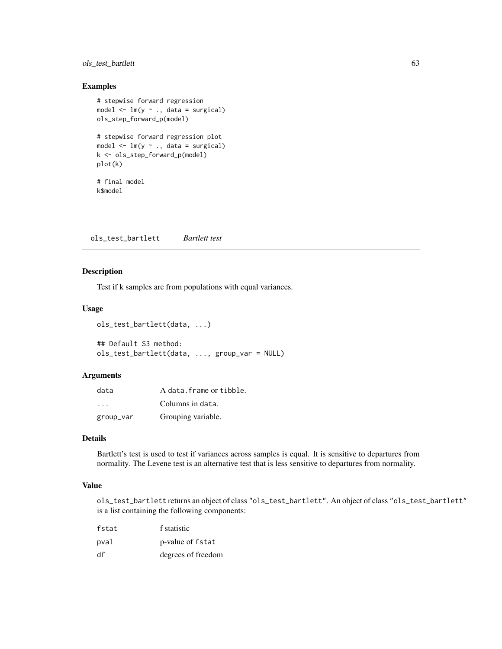## ols\_test\_bartlett 63

### Examples

```
# stepwise forward regression
model \leq lm(y \sim ., data = surgical)
ols_step_forward_p(model)
# stepwise forward regression plot
model \leq -\ln(y \sim ., \text{ data = surgical)}k <- ols_step_forward_p(model)
plot(k)
# final model
k$model
```
<span id="page-62-0"></span>ols\_test\_bartlett *Bartlett test*

## Description

Test if k samples are from populations with equal variances.

### Usage

```
ols_test_bartlett(data, ...)
```

```
## Default S3 method:
ols_test_bartlett(data, ..., group_var = NULL)
```
### Arguments

| data      | A data. frame or tibble. |
|-----------|--------------------------|
| $\cdot$   | Columns in data.         |
| group_var | Grouping variable.       |

# Details

Bartlett's test is used to test if variances across samples is equal. It is sensitive to departures from normality. The Levene test is an alternative test that is less sensitive to departures from normality.

## Value

ols\_test\_bartlett returns an object of class "ols\_test\_bartlett". An object of class "ols\_test\_bartlett" is a list containing the following components:

| fstat | f statistic        |
|-------|--------------------|
| pval  | p-value of fstat   |
| df    | degrees of freedom |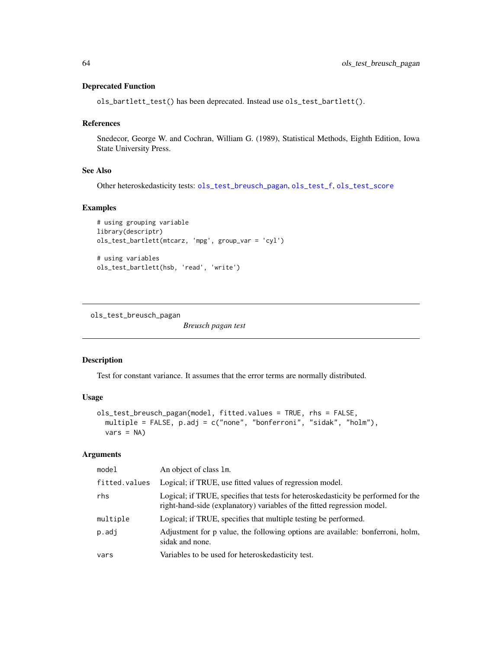#### Deprecated Function

ols\_bartlett\_test() has been deprecated. Instead use ols\_test\_bartlett().

#### References

Snedecor, George W. and Cochran, William G. (1989), Statistical Methods, Eighth Edition, Iowa State University Press.

### See Also

Other heteroskedasticity tests: [ols\\_test\\_breusch\\_pagan](#page-63-0), [ols\\_test\\_f](#page-66-0), [ols\\_test\\_score](#page-69-0)

### Examples

```
# using grouping variable
library(descriptr)
ols_test_bartlett(mtcarz, 'mpg', group_var = 'cyl')
# using variables
ols_test_bartlett(hsb, 'read', 'write')
```
<span id="page-63-0"></span>ols\_test\_breusch\_pagan

*Breusch pagan test*

### Description

Test for constant variance. It assumes that the error terms are normally distributed.

### Usage

```
ols_test_breusch_pagan(model, fitted.values = TRUE, rhs = FALSE,
 multiple = FALSE, p.adj = c("none", "bonferroni", "sidak", "holm"),
 vars = NA)
```
### Arguments

| model         | An object of class 1m.                                                                                                                                        |
|---------------|---------------------------------------------------------------------------------------------------------------------------------------------------------------|
| fitted.values | Logical; if TRUE, use fitted values of regression model.                                                                                                      |
| rhs           | Logical; if TRUE, specifies that tests for heteroskedasticity be performed for the<br>right-hand-side (explanatory) variables of the fitted regression model. |
| multiple      | Logical; if TRUE, specifies that multiple testing be performed.                                                                                               |
| p.addj        | Adjustment for p value, the following options are available: bonferroni, holm,<br>sidak and none.                                                             |
| vars          | Variables to be used for heteroskedasticity test.                                                                                                             |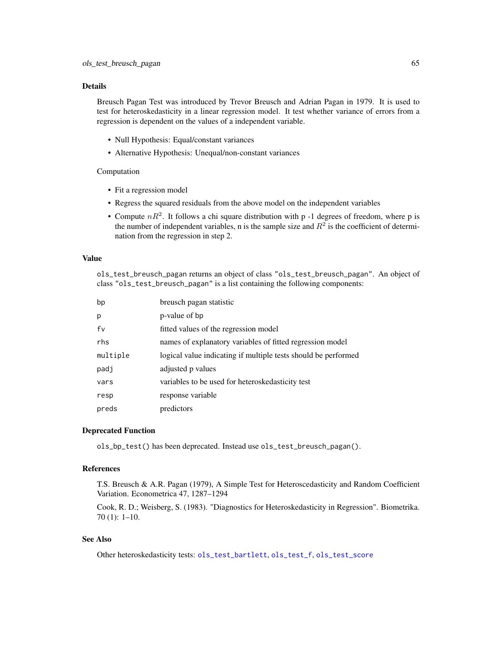## Details

Breusch Pagan Test was introduced by Trevor Breusch and Adrian Pagan in 1979. It is used to test for heteroskedasticity in a linear regression model. It test whether variance of errors from a regression is dependent on the values of a independent variable.

- Null Hypothesis: Equal/constant variances
- Alternative Hypothesis: Unequal/non-constant variances

#### Computation

- Fit a regression model
- Regress the squared residuals from the above model on the independent variables
- Compute  $nR^2$ . It follows a chi square distribution with p -1 degrees of freedom, where p is the number of independent variables, n is the sample size and  $R^2$  is the coefficient of determination from the regression in step 2.

## Value

ols\_test\_breusch\_pagan returns an object of class "ols\_test\_breusch\_pagan". An object of class "ols\_test\_breusch\_pagan" is a list containing the following components:

| bp       | breusch pagan statistic                                        |
|----------|----------------------------------------------------------------|
| p        | p-value of bp                                                  |
| fv       | fitted values of the regression model                          |
| rhs      | names of explanatory variables of fitted regression model      |
| multiple | logical value indicating if multiple tests should be performed |
| padj     | adjusted p values                                              |
| vars     | variables to be used for heteroskedasticity test               |
| resp     | response variable                                              |
| preds    | predictors                                                     |

### Deprecated Function

ols\_bp\_test() has been deprecated. Instead use ols\_test\_breusch\_pagan().

### References

T.S. Breusch & A.R. Pagan (1979), A Simple Test for Heteroscedasticity and Random Coefficient Variation. Econometrica 47, 1287–1294

Cook, R. D.; Weisberg, S. (1983). "Diagnostics for Heteroskedasticity in Regression". Biometrika. 70 (1): 1–10.

### See Also

Other heteroskedasticity tests: [ols\\_test\\_bartlett](#page-62-0), [ols\\_test\\_f](#page-66-0), [ols\\_test\\_score](#page-69-0)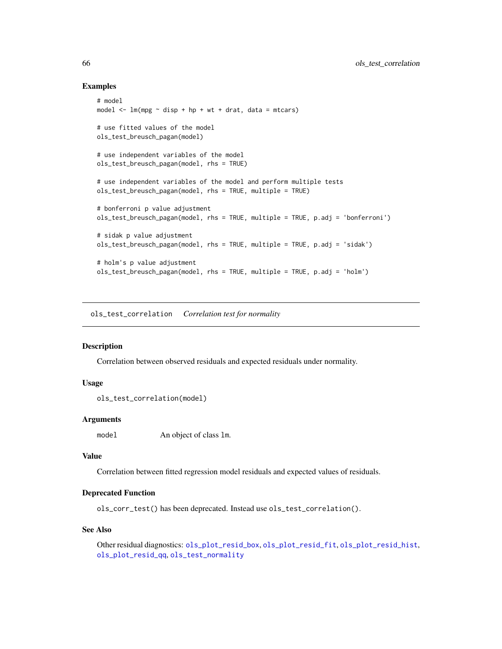### Examples

```
# model
model \leq lm(mpg \sim disp + hp + wt + drat, data = mtcars)
# use fitted values of the model
ols_test_breusch_pagan(model)
# use independent variables of the model
ols_test_breusch_pagan(model, rhs = TRUE)
# use independent variables of the model and perform multiple tests
ols_test_breusch_pagan(model, rhs = TRUE, multiple = TRUE)
# bonferroni p value adjustment
ols_test_breusch_pagan(model, rhs = TRUE, multiple = TRUE, p.adj = 'bonferroni')
# sidak p value adjustment
ols_test_breusch_pagan(model, rhs = TRUE, multiple = TRUE, p.adj = 'sidak')
# holm's p value adjustment
ols_test_breusch_pagan(model, rhs = TRUE, multiple = TRUE, p.adj = 'holm')
```
<span id="page-65-0"></span>ols\_test\_correlation *Correlation test for normality*

## Description

Correlation between observed residuals and expected residuals under normality.

## Usage

```
ols_test_correlation(model)
```
### Arguments

model An object of class lm.

### Value

Correlation between fitted regression model residuals and expected values of residuals.

#### Deprecated Function

ols\_corr\_test() has been deprecated. Instead use ols\_test\_correlation().

#### See Also

Other residual diagnostics: [ols\\_plot\\_resid\\_box](#page-24-0), [ols\\_plot\\_resid\\_fit](#page-25-0), [ols\\_plot\\_resid\\_hist](#page-27-0), [ols\\_plot\\_resid\\_qq](#page-29-0), [ols\\_test\\_normality](#page-67-0)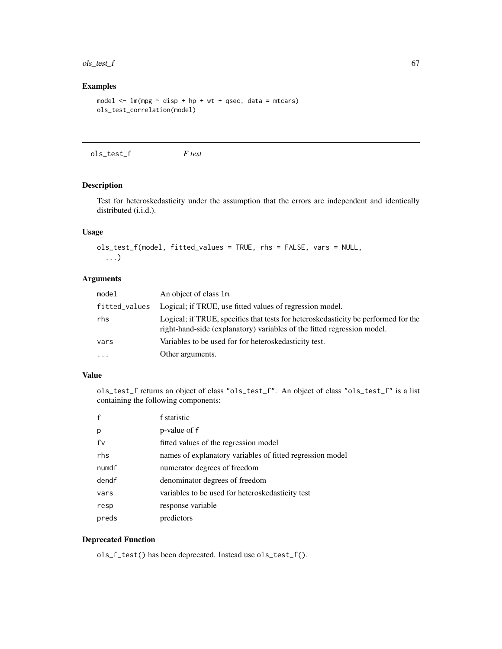#### $\text{obs}\text{\_test}\text{\_f}$  67

# Examples

```
model \leq - \ln(mpg \sim \text{disp} + hp + wt + qsec, \text{ data} = mtcars)ols_test_correlation(model)
```
<span id="page-66-0"></span>ols\_test\_f *F test*

### Description

Test for heteroskedasticity under the assumption that the errors are independent and identically distributed (i.i.d.).

## Usage

```
ols_test_f(model, fitted_values = TRUE, rhs = FALSE, vars = NULL,
  ...)
```
## Arguments

| model         | An object of class 1m.                                                                                                                                        |
|---------------|---------------------------------------------------------------------------------------------------------------------------------------------------------------|
| fitted_values | Logical; if TRUE, use fitted values of regression model.                                                                                                      |
| rhs           | Logical; if TRUE, specifies that tests for heteroskedasticity be performed for the<br>right-hand-side (explanatory) variables of the fitted regression model. |
| vars          | Variables to be used for for heteroskedasticity test.                                                                                                         |
| $\ddots$      | Other arguments.                                                                                                                                              |

### Value

ols\_test\_f returns an object of class "ols\_test\_f". An object of class "ols\_test\_f" is a list containing the following components:

|       | f statistic                                               |
|-------|-----------------------------------------------------------|
| p     | p-value of f                                              |
| fv    | fitted values of the regression model                     |
| rhs   | names of explanatory variables of fitted regression model |
| numdf | numerator degrees of freedom                              |
| dendf | denominator degrees of freedom                            |
| vars  | variables to be used for heteroskedasticity test          |
| resp  | response variable                                         |
| preds | predictors                                                |

## Deprecated Function

ols\_f\_test() has been deprecated. Instead use ols\_test\_f().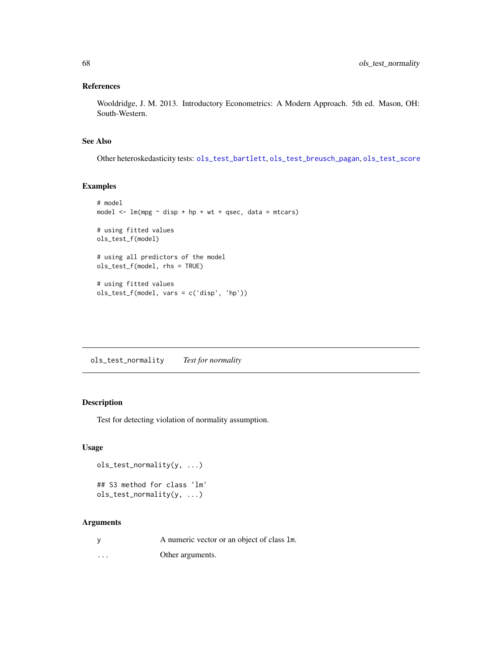## References

Wooldridge, J. M. 2013. Introductory Econometrics: A Modern Approach. 5th ed. Mason, OH: South-Western.

## See Also

Other heteroskedasticity tests: [ols\\_test\\_bartlett](#page-62-0), [ols\\_test\\_breusch\\_pagan](#page-63-0), [ols\\_test\\_score](#page-69-0)

## Examples

```
# model
model \leq lm(mpg \sim disp + hp + wt + qsec, data = mtcars)
# using fitted values
ols_test_f(model)
# using all predictors of the model
ols_test_f(model, rhs = TRUE)
# using fitted values
ols_test_f(model, vars = c('disp', 'hp'))
```
<span id="page-67-0"></span>ols\_test\_normality *Test for normality*

## Description

Test for detecting violation of normality assumption.

#### Usage

```
ols_test_normality(y, ...)
## S3 method for class 'lm'
ols_test_normality(y, ...)
```
## Arguments

| <b>V</b> | A numeric vector or an object of class 1m. |
|----------|--------------------------------------------|
| $\cdots$ | Other arguments.                           |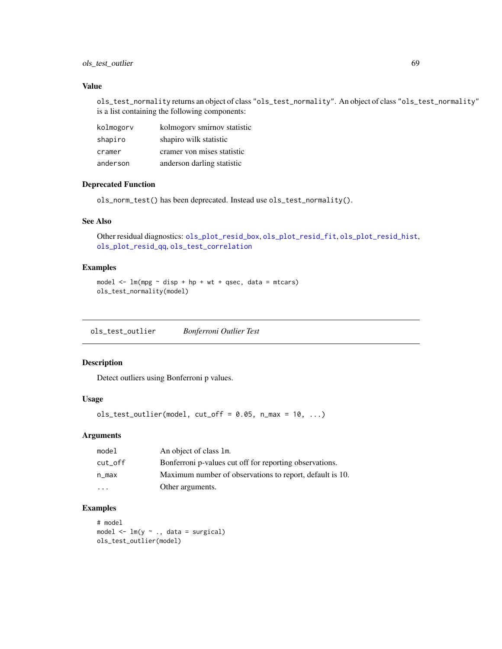## ols\_test\_outlier 69

## Value

ols\_test\_normality returns an object of class "ols\_test\_normality". An object of class "ols\_test\_normality" is a list containing the following components:

| kolmogory | kolmogory smirnov statistic |
|-----------|-----------------------------|
| shapiro   | shapiro wilk statistic      |
| cramer    | cramer von mises statistic  |
| anderson  | anderson darling statistic  |

## Deprecated Function

ols\_norm\_test() has been deprecated. Instead use ols\_test\_normality().

## See Also

Other residual diagnostics: [ols\\_plot\\_resid\\_box](#page-24-0), [ols\\_plot\\_resid\\_fit](#page-25-0), [ols\\_plot\\_resid\\_hist](#page-27-0), [ols\\_plot\\_resid\\_qq](#page-29-0), [ols\\_test\\_correlation](#page-65-0)

### Examples

```
model \leq lm(mpg \sim disp + hp + wt + qsec, data = mtcars)
ols_test_normality(model)
```
ols\_test\_outlier *Bonferroni Outlier Test*

#### Description

Detect outliers using Bonferroni p values.

### Usage

```
ols_test\_outlier(model, cut_of = 0.05, n_max = 10, ...)
```
## Arguments

| model                   | An object of class 1m.                                   |
|-------------------------|----------------------------------------------------------|
| cut_off                 | Bonferroni p-values cut off for reporting observations.  |
| n_max                   | Maximum number of observations to report, default is 10. |
| $\cdot$ $\cdot$ $\cdot$ | Other arguments.                                         |

### Examples

# model model  $\leq -\ln(y \sim ., \text{ data = surgical)}$ ols\_test\_outlier(model)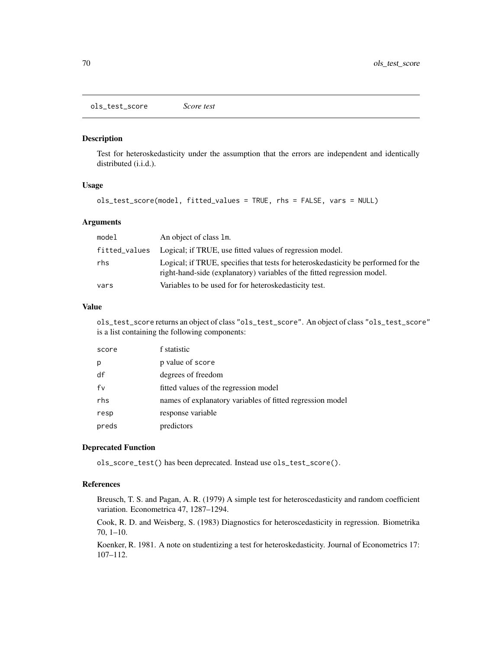<span id="page-69-0"></span>ols\_test\_score *Score test*

#### Description

Test for heteroskedasticity under the assumption that the errors are independent and identically distributed (i.i.d.).

### Usage

```
ols_test_score(model, fitted_values = TRUE, rhs = FALSE, vars = NULL)
```
### Arguments

| model         | An object of class 1m.                                                                                                                                        |
|---------------|---------------------------------------------------------------------------------------------------------------------------------------------------------------|
| fitted_values | Logical; if TRUE, use fitted values of regression model.                                                                                                      |
| rhs           | Logical; if TRUE, specifies that tests for heteroskedasticity be performed for the<br>right-hand-side (explanatory) variables of the fitted regression model. |
| vars          | Variables to be used for for heteroskedasticity test.                                                                                                         |

#### Value

ols\_test\_score returns an object of class "ols\_test\_score". An object of class "ols\_test\_score" is a list containing the following components:

| score | f statistic                                               |
|-------|-----------------------------------------------------------|
| p     | p value of score                                          |
| df    | degrees of freedom                                        |
| fv    | fitted values of the regression model                     |
| rhs   | names of explanatory variables of fitted regression model |
| resp  | response variable                                         |
| preds | predictors                                                |

#### Deprecated Function

ols\_score\_test() has been deprecated. Instead use ols\_test\_score().

### References

Breusch, T. S. and Pagan, A. R. (1979) A simple test for heteroscedasticity and random coefficient variation. Econometrica 47, 1287–1294.

Cook, R. D. and Weisberg, S. (1983) Diagnostics for heteroscedasticity in regression. Biometrika 70, 1–10.

Koenker, R. 1981. A note on studentizing a test for heteroskedasticity. Journal of Econometrics 17: 107–112.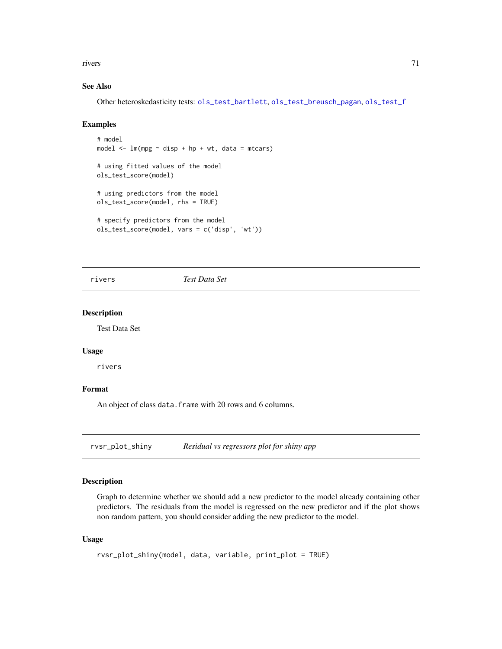rivers 71

## See Also

Other heteroskedasticity tests: [ols\\_test\\_bartlett](#page-62-0), [ols\\_test\\_breusch\\_pagan](#page-63-0), [ols\\_test\\_f](#page-66-0)

### Examples

```
# model
model \leq -\ln(mpg \sim \text{disp} + hp + wt, \text{ data} = mtcars)# using fitted values of the model
ols_test_score(model)
# using predictors from the model
ols_test_score(model, rhs = TRUE)
# specify predictors from the model
ols_test_score(model, vars = c('disp', 'wt'))
```
rivers *Test Data Set*

### Description

Test Data Set

### Usage

rivers

### Format

An object of class data. frame with 20 rows and 6 columns.

rvsr\_plot\_shiny *Residual vs regressors plot for shiny app*

## Description

Graph to determine whether we should add a new predictor to the model already containing other predictors. The residuals from the model is regressed on the new predictor and if the plot shows non random pattern, you should consider adding the new predictor to the model.

### Usage

```
rvsr_plot_shiny(model, data, variable, print_plot = TRUE)
```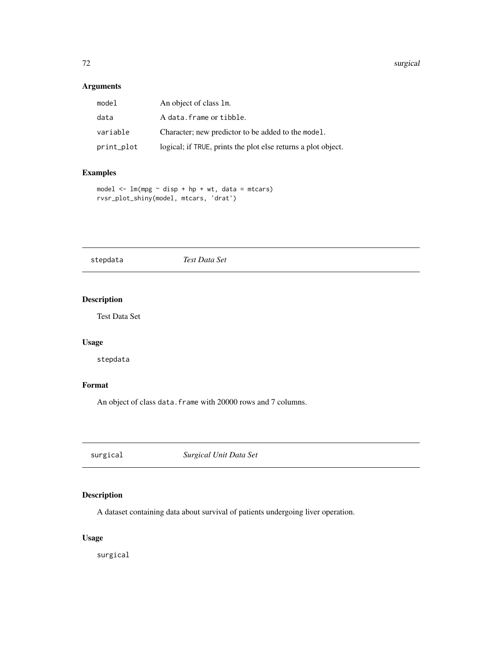#### 72 surgical surgical surgical surgical surgical surgical surgical surgical surgical surgical surgical surgical

# Arguments

| model      | An object of class 1m.                                        |
|------------|---------------------------------------------------------------|
| data       | A data.frame or tibble.                                       |
| variable   | Character; new predictor to be added to the model.            |
| print_plot | logical; if TRUE, prints the plot else returns a plot object. |

## Examples

```
model \leq lm(mpg \sim disp + hp + wt, data = mtcars)
rvsr_plot_shiny(model, mtcars, 'drat')
```
stepdata *Test Data Set*

# Description

Test Data Set

# Usage

stepdata

## Format

An object of class data. frame with 20000 rows and 7 columns.

surgical *Surgical Unit Data Set*

## Description

A dataset containing data about survival of patients undergoing liver operation.

# Usage

surgical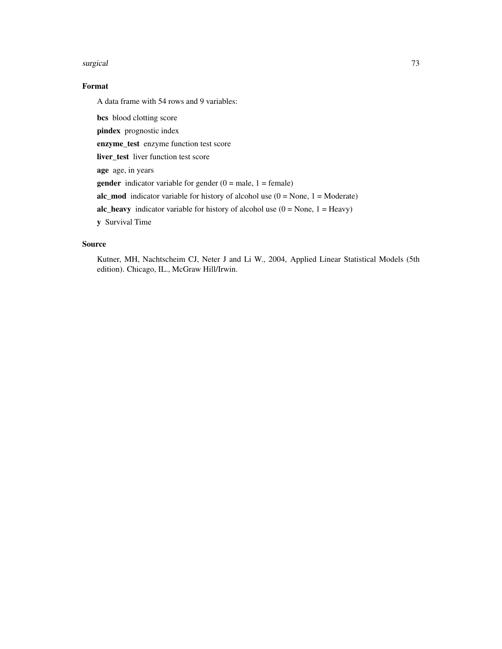#### surgical to the contract of the contract of the contract of the contract of the contract of the contract of the contract of the contract of the contract of the contract of the contract of the contract of the contract of th

## Format

A data frame with 54 rows and 9 variables:

bcs blood clotting score

pindex prognostic index

enzyme\_test enzyme function test score

liver\_test liver function test score

age age, in years

**gender** indicator variable for gender  $(0 = \text{male}, 1 = \text{female})$ 

alc\_mod indicator variable for history of alcohol use  $(0 = None, 1 = Moderate)$ 

alc\_heavy indicator variable for history of alcohol use  $(0 = None, 1 = Heavy)$ 

y Survival Time

## Source

Kutner, MH, Nachtscheim CJ, Neter J and Li W., 2004, Applied Linear Statistical Models (5th edition). Chicago, IL., McGraw Hill/Irwin.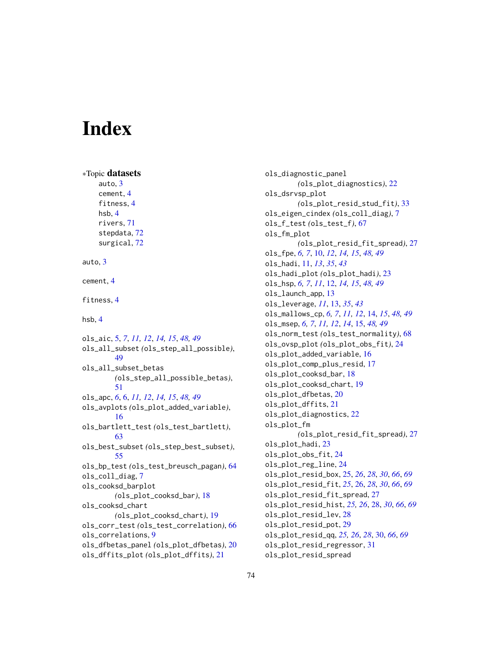# **Index**

```
∗Topic datasets
    auto, 3
    cement, 4
    fitness, 4
    hsb, 4
    rivers, 71
    stepdata, 72
    surgical, 72
auto, 3
cement, 4
fitness, 4
hsb, 4
ols_aic, 5, 7, 11, 12, 14, 15, 48, 49
ols_all_subset (ols_step_all_possible),
        49
ols_all_subset_betas
        (ols_step_all_possible_betas),
        51
ols_apc, 6, 6, 11, 12, 14, 15, 48, 49
ols_avplots (ols_plot_added_variable),
        16
ols_bartlett_test (ols_test_bartlett),
        63
ols_best_subset (ols_step_best_subset),
        55
ols_bp_test (ols_test_breusch_pagan), 64
ols_coll_diag, 7
ols_cooksd_barplot
        (ols_plot_cooksd_bar), 18
ols_cooksd_chart
        (ols_plot_cooksd_chart), 19
ols_corr_test (ols_test_correlation), 66
ols_correlations, 9
ols_dfbetas_panel (ols_plot_dfbetas), 20
ols_dffits_plot (ols_plot_dffits), 21
```
ols\_diagnostic\_panel *(*ols\_plot\_diagnostics*)*, [22](#page-21-0) ols\_dsrvsp\_plot *(*ols\_plot\_resid\_stud\_fit*)*, [33](#page-32-0) ols\_eigen\_cindex *(*ols\_coll\_diag*)*, [7](#page-6-0) ols\_f\_test *(*ols\_test\_f*)*, [67](#page-66-0) ols\_fm\_plot *(*ols\_plot\_resid\_fit\_spread*)*, [27](#page-26-0) ols\_fpe, *[6,](#page-5-0) [7](#page-6-0)*, [10,](#page-9-0) *[12](#page-11-0)*, *[14,](#page-13-0) [15](#page-14-0)*, *[48,](#page-47-0) [49](#page-48-0)* ols\_hadi, [11,](#page-10-0) *[13](#page-12-0)*, *[35](#page-34-0)*, *[43](#page-42-0)* ols\_hadi\_plot *(*ols\_plot\_hadi*)*, [23](#page-22-0) ols\_hsp, *[6,](#page-5-0) [7](#page-6-0)*, *[11](#page-10-0)*, [12,](#page-11-0) *[14,](#page-13-0) [15](#page-14-0)*, *[48,](#page-47-0) [49](#page-48-0)* ols\_launch\_app, [13](#page-12-0) ols\_leverage, *[11](#page-10-0)*, [13,](#page-12-0) *[35](#page-34-0)*, *[43](#page-42-0)* ols\_mallows\_cp, *[6,](#page-5-0) [7](#page-6-0)*, *[11,](#page-10-0) [12](#page-11-0)*, [14,](#page-13-0) *[15](#page-14-0)*, *[48,](#page-47-0) [49](#page-48-0)* ols\_msep, *[6,](#page-5-0) [7](#page-6-0)*, *[11,](#page-10-0) [12](#page-11-0)*, *[14](#page-13-0)*, [15,](#page-14-0) *[48,](#page-47-0) [49](#page-48-0)* ols\_norm\_test *(*ols\_test\_normality*)*, [68](#page-67-0) ols\_ovsp\_plot *(*ols\_plot\_obs\_fit*)*, [24](#page-23-0) ols\_plot\_added\_variable, [16](#page-15-0) ols\_plot\_comp\_plus\_resid, [17](#page-16-0) ols\_plot\_cooksd\_bar, [18](#page-17-0) ols\_plot\_cooksd\_chart, [19](#page-18-0) ols\_plot\_dfbetas, [20](#page-19-0) ols\_plot\_dffits, [21](#page-20-0) ols\_plot\_diagnostics, [22](#page-21-0) ols\_plot\_fm *(*ols\_plot\_resid\_fit\_spread*)*, [27](#page-26-0) ols\_plot\_hadi, [23](#page-22-0) ols\_plot\_obs\_fit, [24](#page-23-0) ols\_plot\_reg\_line, [24](#page-23-0) ols\_plot\_resid\_box, [25,](#page-24-0) *[26](#page-25-0)*, *[28](#page-27-0)*, *[30](#page-29-0)*, *[66](#page-65-0)*, *[69](#page-68-0)* ols\_plot\_resid\_fit, *[25](#page-24-0)*, [26,](#page-25-0) *[28](#page-27-0)*, *[30](#page-29-0)*, *[66](#page-65-0)*, *[69](#page-68-0)* ols\_plot\_resid\_fit\_spread, [27](#page-26-0) ols\_plot\_resid\_hist, *[25,](#page-24-0) [26](#page-25-0)*, [28,](#page-27-0) *[30](#page-29-0)*, *[66](#page-65-0)*, *[69](#page-68-0)* ols\_plot\_resid\_lev, [28](#page-27-0) ols\_plot\_resid\_pot, [29](#page-28-0) ols\_plot\_resid\_qq, *[25,](#page-24-0) [26](#page-25-0)*, *[28](#page-27-0)*, [30,](#page-29-0) *[66](#page-65-0)*, *[69](#page-68-0)* ols\_plot\_resid\_regressor, [31](#page-30-0) ols\_plot\_resid\_spread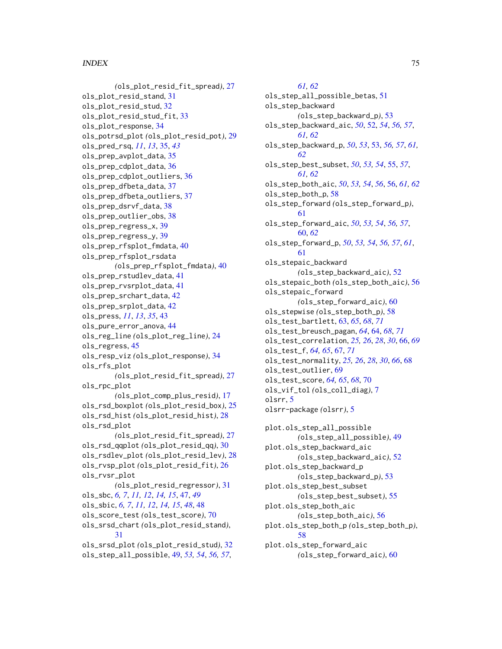### INDEX 75

*(*ols\_plot\_resid\_fit\_spread*)*, [27](#page-26-0) ols\_plot\_resid\_stand, [31](#page-30-0) ols\_plot\_resid\_stud, [32](#page-31-0) ols\_plot\_resid\_stud\_fit, [33](#page-32-0) ols\_plot\_response, [34](#page-33-0) ols\_potrsd\_plot *(*ols\_plot\_resid\_pot*)*, [29](#page-28-0) ols\_pred\_rsq, *[11](#page-10-0)*, *[13](#page-12-0)*, [35,](#page-34-0) *[43](#page-42-0)* ols\_prep\_avplot\_data, [35](#page-34-0) ols\_prep\_cdplot\_data, [36](#page-35-0) ols\_prep\_cdplot\_outliers, [36](#page-35-0) ols\_prep\_dfbeta\_data, [37](#page-36-0) ols\_prep\_dfbeta\_outliers, [37](#page-36-0) ols\_prep\_dsrvf\_data, [38](#page-37-0) ols\_prep\_outlier\_obs, [38](#page-37-0) ols\_prep\_regress\_x, [39](#page-38-0) ols\_prep\_regress\_y, [39](#page-38-0) ols\_prep\_rfsplot\_fmdata, [40](#page-39-0) ols\_prep\_rfsplot\_rsdata *(*ols\_prep\_rfsplot\_fmdata*)*, [40](#page-39-0) ols\_prep\_rstudlev\_data, [41](#page-40-0) ols\_prep\_rvsrplot\_data, [41](#page-40-0) ols\_prep\_srchart\_data, [42](#page-41-0) ols\_prep\_srplot\_data, [42](#page-41-0) ols\_press, *[11](#page-10-0)*, *[13](#page-12-0)*, *[35](#page-34-0)*, [43](#page-42-0) ols\_pure\_error\_anova, [44](#page-43-0) ols\_reg\_line *(*ols\_plot\_reg\_line*)*, [24](#page-23-0) ols\_regress, [45](#page-44-0) ols\_resp\_viz *(*ols\_plot\_response*)*, [34](#page-33-0) ols\_rfs\_plot *(*ols\_plot\_resid\_fit\_spread*)*, [27](#page-26-0) ols\_rpc\_plot *(*ols\_plot\_comp\_plus\_resid*)*, [17](#page-16-0) ols\_rsd\_boxplot *(*ols\_plot\_resid\_box*)*, [25](#page-24-0) ols\_rsd\_hist *(*ols\_plot\_resid\_hist*)*, [28](#page-27-0) ols\_rsd\_plot *(*ols\_plot\_resid\_fit\_spread*)*, [27](#page-26-0) ols\_rsd\_qqplot *(*ols\_plot\_resid\_qq*)*, [30](#page-29-0) ols\_rsdlev\_plot *(*ols\_plot\_resid\_lev*)*, [28](#page-27-0) ols\_rvsp\_plot *(*ols\_plot\_resid\_fit*)*, [26](#page-25-0) ols\_rvsr\_plot *(*ols\_plot\_resid\_regressor*)*, [31](#page-30-0) ols\_sbc, *[6,](#page-5-0) [7](#page-6-0)*, *[11,](#page-10-0) [12](#page-11-0)*, *[14,](#page-13-0) [15](#page-14-0)*, [47,](#page-46-0) *[49](#page-48-0)* ols\_sbic, *[6,](#page-5-0) [7](#page-6-0)*, *[11,](#page-10-0) [12](#page-11-0)*, *[14,](#page-13-0) [15](#page-14-0)*, *[48](#page-47-0)*, [48](#page-47-0) ols\_score\_test *(*ols\_test\_score*)*, [70](#page-69-0) ols\_srsd\_chart *(*ols\_plot\_resid\_stand*)*, [31](#page-30-0) ols\_srsd\_plot *(*ols\_plot\_resid\_stud*)*, [32](#page-31-0) ols\_step\_all\_possible, [49,](#page-48-0) *[53,](#page-52-0) [54](#page-53-0)*, *[56,](#page-55-0) [57](#page-56-0)*,

*[61,](#page-60-0) [62](#page-61-0)* ols\_step\_all\_possible\_betas, [51](#page-50-0) ols\_step\_backward *(*ols\_step\_backward\_p*)*, [53](#page-52-0) ols\_step\_backward\_aic, *[50](#page-49-0)*, [52,](#page-51-0) *[54](#page-53-0)*, *[56,](#page-55-0) [57](#page-56-0)*, *[61,](#page-60-0) [62](#page-61-0)* ols\_step\_backward\_p, *[50](#page-49-0)*, *[53](#page-52-0)*, [53,](#page-52-0) *[56,](#page-55-0) [57](#page-56-0)*, *[61,](#page-60-0) [62](#page-61-0)* ols\_step\_best\_subset, *[50](#page-49-0)*, *[53,](#page-52-0) [54](#page-53-0)*, [55,](#page-54-0) *[57](#page-56-0)*, *[61,](#page-60-0) [62](#page-61-0)* ols\_step\_both\_aic, *[50](#page-49-0)*, *[53,](#page-52-0) [54](#page-53-0)*, *[56](#page-55-0)*, [56,](#page-55-0) *[61,](#page-60-0) [62](#page-61-0)* ols\_step\_both\_p, [58](#page-57-0) ols\_step\_forward *(*ols\_step\_forward\_p*)*, [61](#page-60-0) ols\_step\_forward\_aic, *[50](#page-49-0)*, *[53,](#page-52-0) [54](#page-53-0)*, *[56,](#page-55-0) [57](#page-56-0)*, [60,](#page-59-0) *[62](#page-61-0)* ols\_step\_forward\_p, *[50](#page-49-0)*, *[53,](#page-52-0) [54](#page-53-0)*, *[56,](#page-55-0) [57](#page-56-0)*, *[61](#page-60-0)*, [61](#page-60-0) ols\_stepaic\_backward *(*ols\_step\_backward\_aic*)*, [52](#page-51-0) ols\_stepaic\_both *(*ols\_step\_both\_aic*)*, [56](#page-55-0) ols\_stepaic\_forward *(*ols\_step\_forward\_aic*)*, [60](#page-59-0) ols\_stepwise *(*ols\_step\_both\_p*)*, [58](#page-57-0) ols\_test\_bartlett, [63,](#page-62-0) *[65](#page-64-0)*, *[68](#page-67-0)*, *[71](#page-70-0)* ols\_test\_breusch\_pagan, *[64](#page-63-0)*, [64,](#page-63-0) *[68](#page-67-0)*, *[71](#page-70-0)* ols\_test\_correlation, *[25,](#page-24-0) [26](#page-25-0)*, *[28](#page-27-0)*, *[30](#page-29-0)*, [66,](#page-65-0) *[69](#page-68-0)* ols\_test\_f, *[64,](#page-63-0) [65](#page-64-0)*, [67,](#page-66-0) *[71](#page-70-0)* ols\_test\_normality, *[25,](#page-24-0) [26](#page-25-0)*, *[28](#page-27-0)*, *[30](#page-29-0)*, *[66](#page-65-0)*, [68](#page-67-0) ols\_test\_outlier, [69](#page-68-0) ols\_test\_score, *[64,](#page-63-0) [65](#page-64-0)*, *[68](#page-67-0)*, [70](#page-69-0) ols\_vif\_tol *(*ols\_coll\_diag*)*, [7](#page-6-0) olsrr, [5](#page-4-0) olsrr-package *(*olsrr*)*, [5](#page-4-0) plot.ols\_step\_all\_possible *(*ols\_step\_all\_possible*)*, [49](#page-48-0) plot.ols\_step\_backward\_aic

*(*ols\_step\_backward\_aic*)*, [52](#page-51-0) plot.ols\_step\_backward\_p *(*ols\_step\_backward\_p*)*, [53](#page-52-0) plot.ols\_step\_best\_subset *(*ols\_step\_best\_subset*)*, [55](#page-54-0) plot.ols\_step\_both\_aic *(*ols\_step\_both\_aic*)*, [56](#page-55-0) plot.ols\_step\_both\_p *(*ols\_step\_both\_p*)*, [58](#page-57-0) plot.ols\_step\_forward\_aic *(*ols\_step\_forward\_aic*)*, [60](#page-59-0)